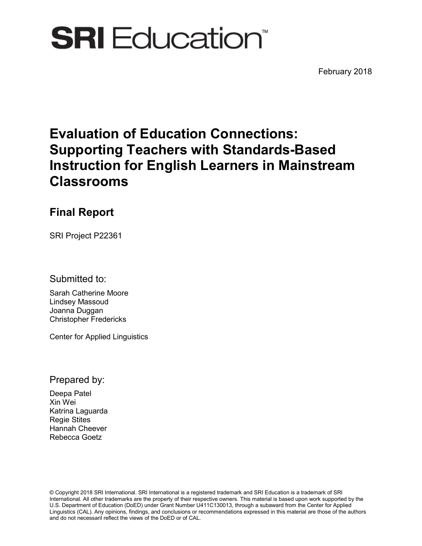# **SRI** Education<sup>®</sup>

February 2018

# **Evaluation of Education Connections: Supporting Teachers with Standards-Based Instruction for English Learners in Mainstream Classrooms**

# **Final Report**

SRI Project P22361

Submitted to:

Sarah Catherine Moore Lindsey Massoud Joanna Duggan Christopher Fredericks

Center for Applied Linguistics

Prepared by:

Deepa Patel Xin Wei Katrina Laguarda Regie Stites Hannah Cheever Rebecca Goetz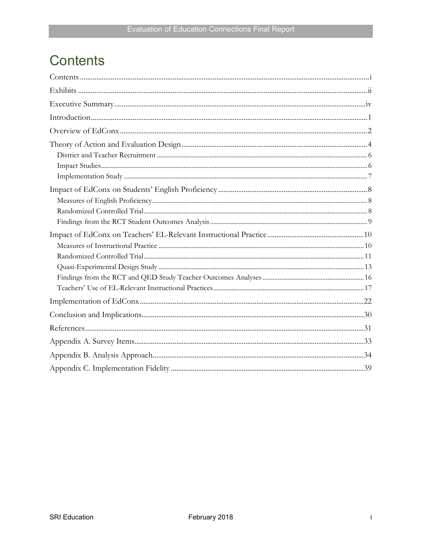# <span id="page-2-0"></span>**Contents**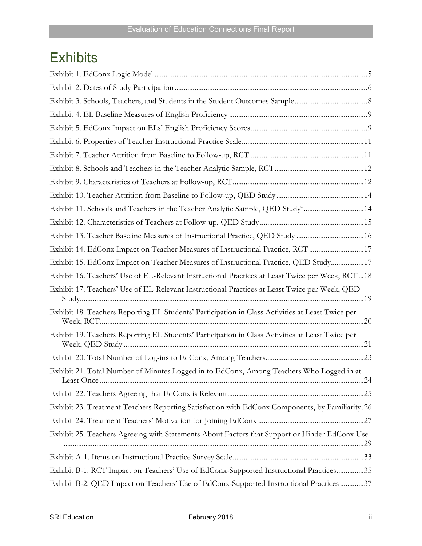# <span id="page-3-0"></span>**Exhibits**

| Exhibit 11. Schools and Teachers in the Teacher Analytic Sample, QED Study <sup>a</sup> 14       |  |
|--------------------------------------------------------------------------------------------------|--|
|                                                                                                  |  |
| Exhibit 13. Teacher Baseline Measures of Instructional Practice, QED Study 16                    |  |
| Exhibit 14. EdConx Impact on Teacher Measures of Instructional Practice, RCT 17                  |  |
| Exhibit 15. EdConx Impact on Teacher Measures of Instructional Practice, QED Study17             |  |
| Exhibit 16. Teachers' Use of EL-Relevant Instructional Practices at Least Twice per Week, RCT18  |  |
| Exhibit 17. Teachers' Use of EL-Relevant Instructional Practices at Least Twice per Week, QED    |  |
| Exhibit 18. Teachers Reporting EL Students' Participation in Class Activities at Least Twice per |  |
| Exhibit 19. Teachers Reporting EL Students' Participation in Class Activities at Least Twice per |  |
|                                                                                                  |  |
| Exhibit 21. Total Number of Minutes Logged in to EdConx, Among Teachers Who Logged in at         |  |
|                                                                                                  |  |
| Exhibit 23. Treatment Teachers Reporting Satisfaction with EdConx Components, by Familiarity.26  |  |
|                                                                                                  |  |
| Exhibit 25. Teachers Agreeing with Statements About Factors that Support or Hinder EdConx Use    |  |
|                                                                                                  |  |
| Exhibit B-1. RCT Impact on Teachers' Use of EdConx-Supported Instructional Practices35           |  |
| Exhibit B-2. QED Impact on Teachers' Use of EdConx-Supported Instructional Practices 37          |  |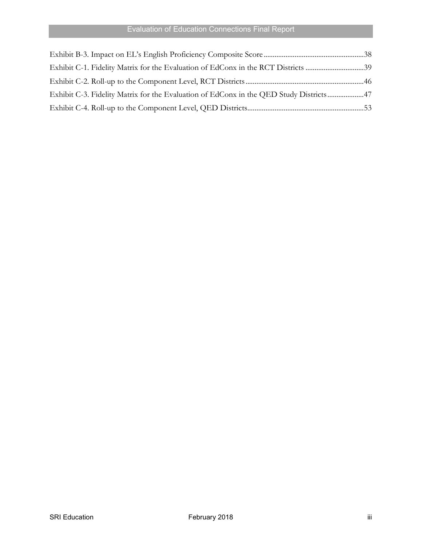| Exhibit C-1. Fidelity Matrix for the Evaluation of EdConx in the RCT Districts 39      |  |
|----------------------------------------------------------------------------------------|--|
|                                                                                        |  |
| Exhibit C-3. Fidelity Matrix for the Evaluation of EdConx in the QED Study Districts47 |  |
|                                                                                        |  |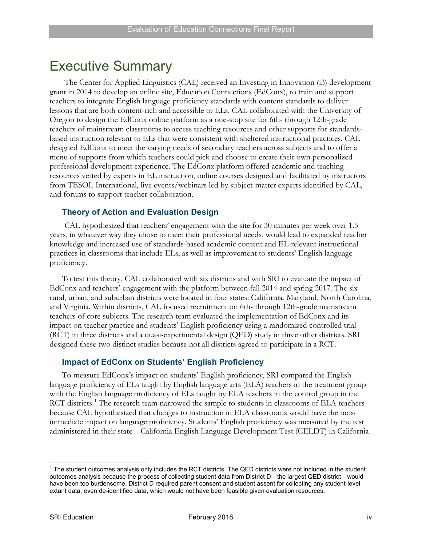# <span id="page-5-0"></span>Executive Summary

The Center for Applied Linguistics (CAL) received an Investing in Innovation (i3) development grant in 2014 to develop an online site, Education Connections (EdConx), to train and support teachers to integrate English language proficiency standards with content standards to deliver lessons that are both content-rich and accessible to ELs. CAL collaborated with the University of Oregon to design the EdConx online platform as a one-stop site for 6th- through 12th-grade teachers of mainstream classrooms to access teaching resources and other supports for standardsbased instruction relevant to ELs that were consistent with sheltered instructional practices. CAL designed EdConx to meet the varying needs of secondary teachers across subjects and to offer a menu of supports from which teachers could pick and choose to create their own personalized professional development experience. The EdConx platform offered academic and teaching resources vetted by experts in EL instruction, online courses designed and facilitated by instructors from TESOL International, live events/webinars led by subject-matter experts identified by CAL, and forums to support teacher collaboration.

#### **Theory of Action and Evaluation Design**

CAL hypothesized that teachers' engagement with the site for 30 minutes per week over 1.5 years, in whatever way they chose to meet their professional needs, would lead to expanded teacher knowledge and increased use of standards-based academic content and EL-relevant instructional practices in classrooms that include ELs, as well as improvement to students' English language proficiency.

To test this theory, CAL collaborated with six districts and with SRI to evaluate the impact of EdConx and teachers' engagement with the platform between fall 2014 and spring 2017. The six rural, urban, and suburban districts were located in four states: California, Maryland, North Carolina, and Virginia. Within districts, CAL focused recruitment on 6th- through 12th-grade mainstream teachers of core subjects. The research team evaluated the implementation of EdConx and its impact on teacher practice and students' English proficiency using a randomized controlled trial (RCT) in three districts and a quasi-experimental design (QED) study in three other districts. SRI designed these two distinct studies because not all districts agreed to participate in a RCT.

#### **Impact of EdConx on Students' English Proficiency**

To measure EdConx's impact on students' English proficiency, SRI compared the English language proficiency of ELs taught by English language arts (ELA) teachers in the treatment group with the English language proficiency of ELs taught by ELA teachers in the control group in the RCT districts.<sup>[1](#page-5-1)</sup> The research team narrowed the sample to students in classrooms of ELA teachers because CAL hypothesized that changes to instruction in ELA classrooms would have the most immediate impact on language proficiency. Students' English proficiency was measured by the test administered in their state—California English Language Development Test (CELDT) in California

<span id="page-5-1"></span> <sup>1</sup> The student outcomes analysis only includes the RCT districts. The QED districts were not included in the student outcomes analysis because the process of collecting student data from District D—the largest QED district—would have been too burdensome. District D required parent consent and student assent for collecting any student-level extant data, even de-identified data, which would not have been feasible given evaluation resources.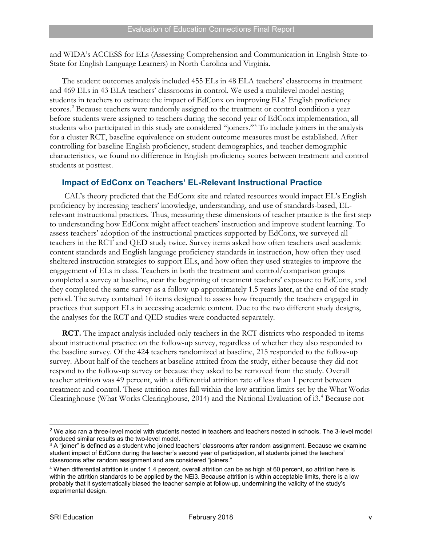and WIDA's ACCESS for ELs (Assessing Comprehension and Communication in English State-to-State for English Language Learners) in North Carolina and Virginia.

The student outcomes analysis included 455 ELs in 48 ELA teachers' classrooms in treatment and 469 ELs in 43 ELA teachers' classrooms in control. We used a multilevel model nesting students in teachers to estimate the impact of EdConx on improving ELs' English proficiency scores.<sup>[2](#page-6-0)</sup> Because teachers were randomly assigned to the treatment or control condition a year before students were assigned to teachers during the second year of EdConx implementation, all students who participated in this study are considered "joiners."[3](#page-6-1) To include joiners in the analysis for a cluster RCT, baseline equivalence on student outcome measures must be established. After controlling for baseline English proficiency, student demographics, and teacher demographic characteristics, we found no difference in English proficiency scores between treatment and control students at posttest.

### **Impact of EdConx on Teachers' EL-Relevant Instructional Practice**

CAL's theory predicted that the EdConx site and related resources would impact EL's English proficiency by increasing teachers' knowledge, understanding, and use of standards-based, ELrelevant instructional practices. Thus, measuring these dimensions of teacher practice is the first step to understanding how EdConx might affect teachers' instruction and improve student learning. To assess teachers' adoption of the instructional practices supported by EdConx, we surveyed all teachers in the RCT and QED study twice. Survey items asked how often teachers used academic content standards and English language proficiency standards in instruction, how often they used sheltered instruction strategies to support ELs, and how often they used strategies to improve the engagement of ELs in class. Teachers in both the treatment and control/comparison groups completed a survey at baseline, near the beginning of treatment teachers' exposure to EdConx, and they completed the same survey as a follow-up approximately 1.5 years later, at the end of the study period. The survey contained 16 items designed to assess how frequently the teachers engaged in practices that support ELs in accessing academic content. Due to the two different study designs, the analyses for the RCT and QED studies were conducted separately.

**RCT.** The impact analysis included only teachers in the RCT districts who responded to items about instructional practice on the follow-up survey, regardless of whether they also responded to the baseline survey. Of the 424 teachers randomized at baseline, 215 responded to the follow-up survey. About half of the teachers at baseline attrited from the study, either because they did not respond to the follow-up survey or because they asked to be removed from the study. Overall teacher attrition was 49 percent, with a differential attrition rate of less than 1 percent between treatment and control. These attrition rates fall within the low attrition limits set by the What Works Clearinghouse (What Works Clearinghouse, 2014) and the National Evaluation of i3.[4](#page-6-2) Because not

<span id="page-6-0"></span><sup>&</sup>lt;sup>2</sup> We also ran a three-level model with students nested in teachers and teachers nested in schools. The 3-level model produced similar results as the two-level model.<br><sup>3</sup> A "joiner" is defined as a student who joined teachers' classrooms after random assignment. Because we examine

<span id="page-6-1"></span>student impact of EdConx during the teacher's second year of participation, all students joined the teachers' classrooms after random assignment and are considered "joiners."

<span id="page-6-2"></span><sup>4</sup> When differential attrition is under 1.4 percent, overall attrition can be as high at 60 percent, so attrition here is within the attrition standards to be applied by the NEi3. Because attrition is within acceptable limits, there is a low probably that it systematically biased the teacher sample at follow-up, undermining the validity of the study's experimental design.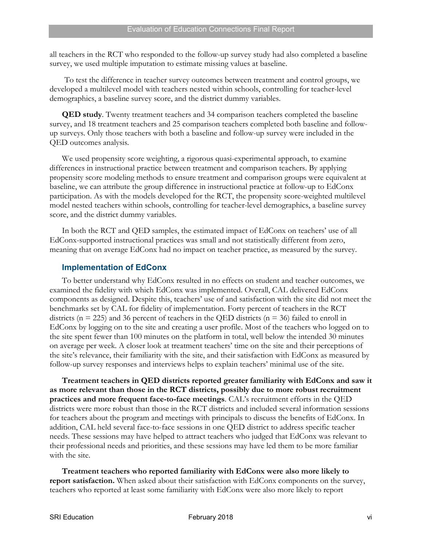all teachers in the RCT who responded to the follow-up survey study had also completed a baseline survey, we used multiple imputation to estimate missing values at baseline.

To test the difference in teacher survey outcomes between treatment and control groups, we developed a multilevel model with teachers nested within schools, controlling for teacher-level demographics, a baseline survey score, and the district dummy variables.

**QED study**. Twenty treatment teachers and 34 comparison teachers completed the baseline survey, and 18 treatment teachers and 25 comparison teachers completed both baseline and followup surveys. Only those teachers with both a baseline and follow-up survey were included in the QED outcomes analysis.

We used propensity score weighting, a rigorous quasi-experimental approach, to examine differences in instructional practice between treatment and comparison teachers. By applying propensity score modeling methods to ensure treatment and comparison groups were equivalent at baseline, we can attribute the group difference in instructional practice at follow-up to EdConx participation. As with the models developed for the RCT, the propensity score-weighted multilevel model nested teachers within schools, controlling for teacher-level demographics, a baseline survey score, and the district dummy variables.

In both the RCT and QED samples, the estimated impact of EdConx on teachers' use of all EdConx-supported instructional practices was small and not statistically different from zero, meaning that on average EdConx had no impact on teacher practice, as measured by the survey.

#### **Implementation of EdConx**

To better understand why EdConx resulted in no effects on student and teacher outcomes, we examined the fidelity with which EdConx was implemented. Overall, CAL delivered EdConx components as designed. Despite this, teachers' use of and satisfaction with the site did not meet the benchmarks set by CAL for fidelity of implementation. Forty percent of teachers in the RCT districts ( $n = 225$ ) and 36 percent of teachers in the QED districts ( $n = 36$ ) failed to enroll in EdConx by logging on to the site and creating a user profile. Most of the teachers who logged on to the site spent fewer than 100 minutes on the platform in total, well below the intended 30 minutes on average per week. A closer look at treatment teachers' time on the site and their perceptions of the site's relevance, their familiarity with the site, and their satisfaction with EdConx as measured by follow-up survey responses and interviews helps to explain teachers' minimal use of the site.

**Treatment teachers in QED districts reported greater familiarity with EdConx and saw it as more relevant than those in the RCT districts, possibly due to more robust recruitment practices and more frequent face-to-face meetings**. CAL's recruitment efforts in the QED districts were more robust than those in the RCT districts and included several information sessions for teachers about the program and meetings with principals to discuss the benefits of EdConx. In addition, CAL held several face-to-face sessions in one QED district to address specific teacher needs. These sessions may have helped to attract teachers who judged that EdConx was relevant to their professional needs and priorities, and these sessions may have led them to be more familiar with the site.

**Treatment teachers who reported familiarity with EdConx were also more likely to report satisfaction.** When asked about their satisfaction with EdConx components on the survey, teachers who reported at least some familiarity with EdConx were also more likely to report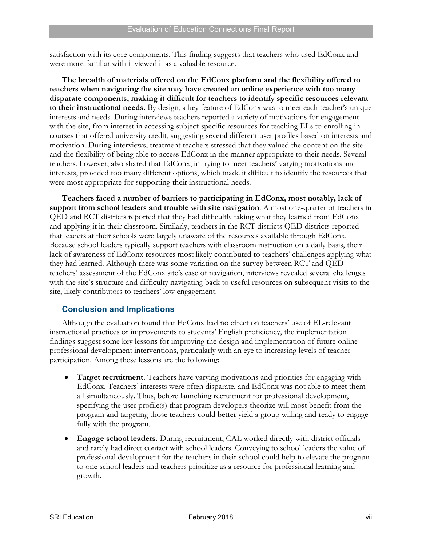satisfaction with its core components. This finding suggests that teachers who used EdConx and were more familiar with it viewed it as a valuable resource.

**The breadth of materials offered on the EdConx platform and the flexibility offered to teachers when navigating the site may have created an online experience with too many disparate components, making it difficult for teachers to identify specific resources relevant to their instructional needs.** By design, a key feature of EdConx was to meet each teacher's unique interests and needs. During interviews teachers reported a variety of motivations for engagement with the site, from interest in accessing subject-specific resources for teaching ELs to enrolling in courses that offered university credit, suggesting several different user profiles based on interests and motivation. During interviews, treatment teachers stressed that they valued the content on the site and the flexibility of being able to access EdConx in the manner appropriate to their needs. Several teachers, however, also shared that EdConx, in trying to meet teachers' varying motivations and interests, provided too many different options, which made it difficult to identify the resources that were most appropriate for supporting their instructional needs.

**Teachers faced a number of barriers to participating in EdConx, most notably, lack of support from school leaders and trouble with site navigation**. Almost one-quarter of teachers in QED and RCT districts reported that they had difficultly taking what they learned from EdConx and applying it in their classroom. Similarly, teachers in the RCT districts QED districts reported that leaders at their schools were largely unaware of the resources available through EdConx. Because school leaders typically support teachers with classroom instruction on a daily basis, their lack of awareness of EdConx resources most likely contributed to teachers' challenges applying what they had learned. Although there was some variation on the survey between RCT and QED teachers' assessment of the EdConx site's ease of navigation, interviews revealed several challenges with the site's structure and difficulty navigating back to useful resources on subsequent visits to the site, likely contributors to teachers' low engagement.

### **Conclusion and Implications**

Although the evaluation found that EdConx had no effect on teachers' use of EL-relevant instructional practices or improvements to students' English proficiency, the implementation findings suggest some key lessons for improving the design and implementation of future online professional development interventions, particularly with an eye to increasing levels of teacher participation. Among these lessons are the following:

- **Target recruitment.** Teachers have varying motivations and priorities for engaging with EdConx. Teachers' interests were often disparate, and EdConx was not able to meet them all simultaneously. Thus, before launching recruitment for professional development, specifying the user profile(s) that program developers theorize will most benefit from the program and targeting those teachers could better yield a group willing and ready to engage fully with the program.
- **Engage school leaders.** During recruitment, CAL worked directly with district officials and rarely had direct contact with school leaders. Conveying to school leaders the value of professional development for the teachers in their school could help to elevate the program to one school leaders and teachers prioritize as a resource for professional learning and growth.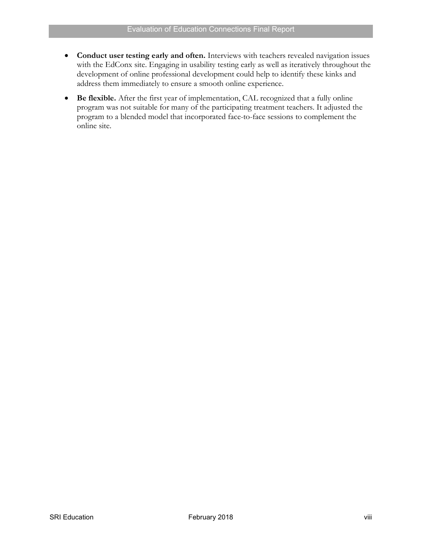- **Conduct user testing early and often.** Interviews with teachers revealed navigation issues with the EdConx site. Engaging in usability testing early as well as iteratively throughout the development of online professional development could help to identify these kinks and address them immediately to ensure a smooth online experience.
- **Be flexible.** After the first year of implementation, CAL recognized that a fully online program was not suitable for many of the participating treatment teachers. It adjusted the program to a blended model that incorporated face-to-face sessions to complement the online site.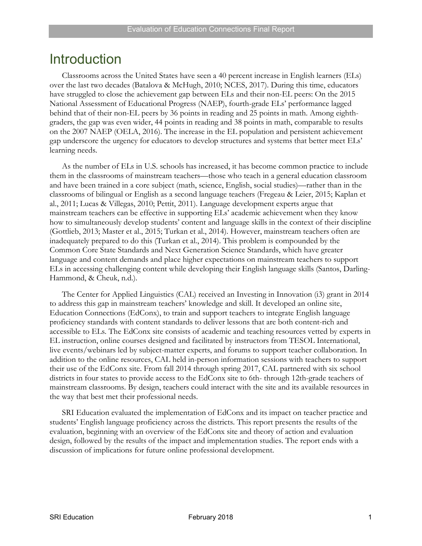# <span id="page-10-0"></span>**Introduction**

Classrooms across the United States have seen a 40 percent increase in English learners (ELs) over the last two decades (Batalova & McHugh, 2010; NCES, 2017). During this time, educators have struggled to close the achievement gap between ELs and their non-EL peers: On the 2015 National Assessment of Educational Progress (NAEP), fourth-grade ELs' performance lagged behind that of their non-EL peers by 36 points in reading and 25 points in math. Among eighthgraders, the gap was even wider, 44 points in reading and 38 points in math, comparable to results on the 2007 NAEP (OELA, 2016). The increase in the EL population and persistent achievement gap underscore the urgency for educators to develop structures and systems that better meet ELs' learning needs.

As the number of ELs in U.S. schools has increased, it has become common practice to include them in the classrooms of mainstream teachers—those who teach in a general education classroom and have been trained in a core subject (math, science, English, social studies)—rather than in the classrooms of bilingual or English as a second language teachers (Fregeau & Leier, 2015; Kaplan et al., 2011; Lucas & Villegas, 2010; Pettit, 2011). Language development experts argue that mainstream teachers can be effective in supporting ELs' academic achievement when they know how to simultaneously develop students' content and language skills in the context of their discipline (Gottlieb, 2013; Master et al., 2015; Turkan et al., 2014). However, mainstream teachers often are inadequately prepared to do this (Turkan et al., 2014). This problem is compounded by the Common Core State Standards and Next Generation Science Standards, which have greater language and content demands and place higher expectations on mainstream teachers to support ELs in accessing challenging content while developing their English language skills (Santos, Darling-Hammond, & Cheuk, n.d.).

The Center for Applied Linguistics (CAL) received an Investing in Innovation (i3) grant in 2014 to address this gap in mainstream teachers' knowledge and skill. It developed an online site, Education Connections (EdConx), to train and support teachers to integrate English language proficiency standards with content standards to deliver lessons that are both content-rich and accessible to ELs. The EdConx site consists of academic and teaching resources vetted by experts in EL instruction, online courses designed and facilitated by instructors from TESOL International, live events/webinars led by subject-matter experts, and forums to support teacher collaboration. In addition to the online resources, CAL held in-person information sessions with teachers to support their use of the EdConx site. From fall 2014 through spring 2017, CAL partnered with six school districts in four states to provide access to the EdConx site to 6th- through 12th-grade teachers of mainstream classrooms. By design, teachers could interact with the site and its available resources in the way that best met their professional needs.

SRI Education evaluated the implementation of EdConx and its impact on teacher practice and students' English language proficiency across the districts. This report presents the results of the evaluation, beginning with an overview of the EdConx site and theory of action and evaluation design, followed by the results of the impact and implementation studies. The report ends with a discussion of implications for future online professional development.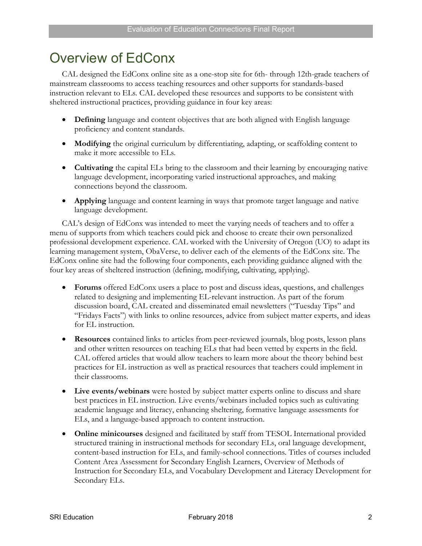# <span id="page-11-0"></span>Overview of EdConx

CAL designed the EdConx online site as a one-stop site for 6th- through 12th-grade teachers of mainstream classrooms to access teaching resources and other supports for standards-based instruction relevant to ELs. CAL developed these resources and supports to be consistent with sheltered instructional practices, providing guidance in four key areas:

- **Defining** language and content objectives that are both aligned with English language proficiency and content standards.
- **Modifying** the original curriculum by differentiating, adapting, or scaffolding content to make it more accessible to ELs.
- **Cultivating** the capital ELs bring to the classroom and their learning by encouraging native language development, incorporating varied instructional approaches, and making connections beyond the classroom.
- **Applying** language and content learning in ways that promote target language and native language development.

CAL's design of EdConx was intended to meet the varying needs of teachers and to offer a menu of supports from which teachers could pick and choose to create their own personalized professional development experience. CAL worked with the University of Oregon (UO) to adapt its learning management system, ObaVerse, to deliver each of the elements of the EdConx site. The EdConx online site had the following four components, each providing guidance aligned with the four key areas of sheltered instruction (defining, modifying, cultivating, applying).

- **Forums** offered EdConx users a place to post and discuss ideas, questions, and challenges related to designing and implementing EL-relevant instruction. As part of the forum discussion board, CAL created and disseminated email newsletters ("Tuesday Tips" and "Fridays Facts") with links to online resources, advice from subject matter experts, and ideas for EL instruction.
- **Resources** contained links to articles from peer-reviewed journals, blog posts, lesson plans and other written resources on teaching ELs that had been vetted by experts in the field. CAL offered articles that would allow teachers to learn more about the theory behind best practices for EL instruction as well as practical resources that teachers could implement in their classrooms.
- **Live events/webinars** were hosted by subject matter experts online to discuss and share best practices in EL instruction. Live events/webinars included topics such as cultivating academic language and literacy, enhancing sheltering, formative language assessments for ELs, and a language-based approach to content instruction.
- **Online minicourses** designed and facilitated by staff from TESOL International provided structured training in instructional methods for secondary ELs, oral language development, content-based instruction for ELs, and family-school connections. Titles of courses included Content Area Assessment for Secondary English Learners, Overview of Methods of Instruction for Secondary ELs, and Vocabulary Development and Literacy Development for Secondary ELs.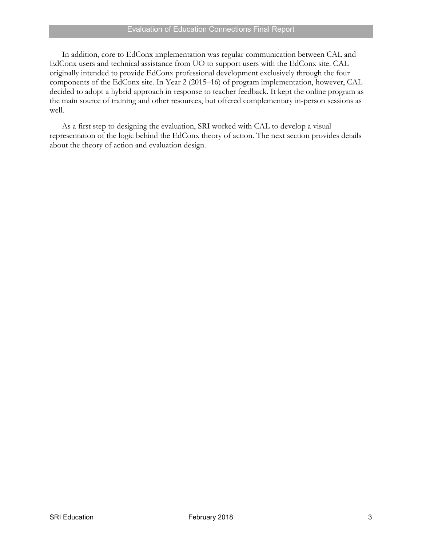In addition, core to EdConx implementation was regular communication between CAL and EdConx users and technical assistance from UO to support users with the EdConx site. CAL originally intended to provide EdConx professional development exclusively through the four components of the EdConx site. In Year 2 (2015–16) of program implementation, however, CAL decided to adopt a hybrid approach in response to teacher feedback. It kept the online program as the main source of training and other resources, but offered complementary in-person sessions as well.

As a first step to designing the evaluation, SRI worked with CAL to develop a visual representation of the logic behind the EdConx theory of action. The next section provides details about the theory of action and evaluation design.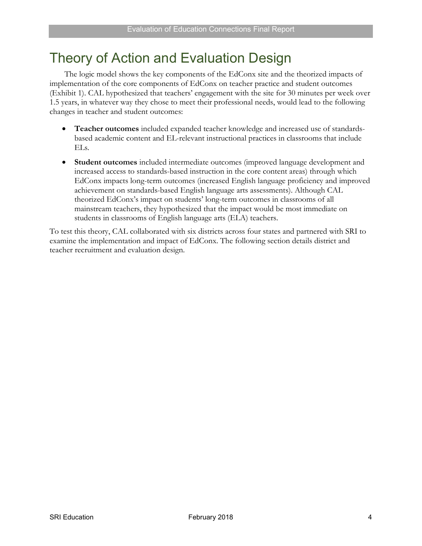# <span id="page-13-0"></span>Theory of Action and Evaluation Design

The logic model shows the key components of the EdConx site and the theorized impacts of implementation of the core components of EdConx on teacher practice and student outcomes (Exhibit 1). CAL hypothesized that teachers' engagement with the site for 30 minutes per week over 1.5 years, in whatever way they chose to meet their professional needs, would lead to the following changes in teacher and student outcomes:

- **Teacher outcomes** included expanded teacher knowledge and increased use of standardsbased academic content and EL-relevant instructional practices in classrooms that include ELs.
- **Student outcomes** included intermediate outcomes (improved language development and increased access to standards-based instruction in the core content areas) through which EdConx impacts long-term outcomes (increased English language proficiency and improved achievement on standards-based English language arts assessments). Although CAL theorized EdConx's impact on students' long-term outcomes in classrooms of all mainstream teachers, they hypothesized that the impact would be most immediate on students in classrooms of English language arts (ELA) teachers.

To test this theory, CAL collaborated with six districts across four states and partnered with SRI to examine the implementation and impact of EdConx. The following section details district and teacher recruitment and evaluation design.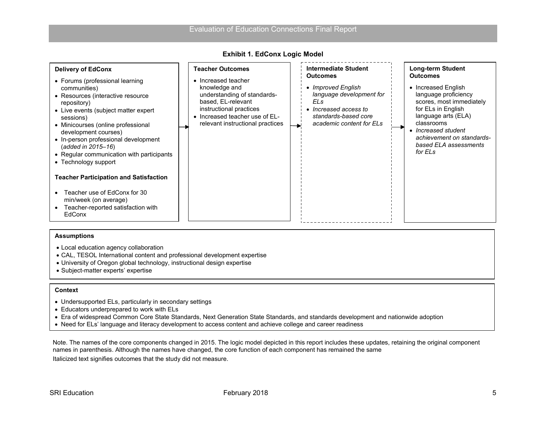| <b>Delivery of EdConx</b><br>• Forums (professional learning<br>communities)<br>• Resources (interactive resource<br>repository)<br>• Live events (subject matter expert<br>sessions)<br>• Minicourses (online professional<br>development courses)<br>• In-person professional development<br>(added in 2015–16)<br>• Regular communication with participants<br>• Technology support<br><b>Teacher Participation and Satisfaction</b><br>Teacher use of EdConx for 30<br>min/week (on average)<br>Teacher-reported satisfaction with<br>$\bullet$<br>EdConx | <b>Teacher Outcomes</b><br>• Increased teacher<br>knowledge and<br>understanding of standards-<br>based, EL-relevant<br>instructional practices<br>• Increased teacher use of EL-<br>relevant instructional practices | <b>Intermediate Student</b><br><b>Outcomes</b><br>• Improved English<br>language development for<br>ELs<br>• Increased access to<br>standards-based core<br>academic content for ELs | <b>Long-term Student</b><br><b>Outcomes</b><br>• Increased English<br>language proficiency<br>scores, most immediately<br>for ELs in English<br>language arts (ELA)<br>classrooms<br>• Increased student<br>achievement on standards-<br>based ELA assessments<br>for ELs |
|---------------------------------------------------------------------------------------------------------------------------------------------------------------------------------------------------------------------------------------------------------------------------------------------------------------------------------------------------------------------------------------------------------------------------------------------------------------------------------------------------------------------------------------------------------------|-----------------------------------------------------------------------------------------------------------------------------------------------------------------------------------------------------------------------|--------------------------------------------------------------------------------------------------------------------------------------------------------------------------------------|---------------------------------------------------------------------------------------------------------------------------------------------------------------------------------------------------------------------------------------------------------------------------|
|---------------------------------------------------------------------------------------------------------------------------------------------------------------------------------------------------------------------------------------------------------------------------------------------------------------------------------------------------------------------------------------------------------------------------------------------------------------------------------------------------------------------------------------------------------------|-----------------------------------------------------------------------------------------------------------------------------------------------------------------------------------------------------------------------|--------------------------------------------------------------------------------------------------------------------------------------------------------------------------------------|---------------------------------------------------------------------------------------------------------------------------------------------------------------------------------------------------------------------------------------------------------------------------|

#### **Exhibit 1. EdConx Logic Model**

#### <span id="page-14-0"></span>**Assumptions**

- Local education agency collaboration
- CAL, TESOL International content and professional development expertise
- University of Oregon global technology, instructional design expertise
- Subject-matter experts' expertise

#### **Context**

- Undersupported ELs, particularly in secondary settings
- Educators underprepared to work with ELs
- Era of widespread Common Core State Standards, Next Generation State Standards, and standards development and nationwide adoption
- Need for ELs' language and literacy development to access content and achieve college and career readiness

Note. The names of the core components changed in 2015. The logic model depicted in this report includes these updates, retaining the original component names in parenthesis. Although the names have changed, the core function of each component has remained the same

Italicized text signifies outcomes that the study did not measure.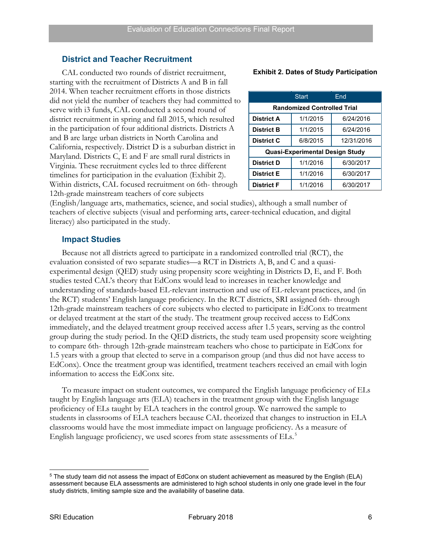### <span id="page-15-0"></span>**District and Teacher Recruitment**

CAL conducted two rounds of district recruitment, starting with the recruitment of Districts A and B in fall 2014. When teacher recruitment efforts in those districts did not yield the number of teachers they had committed to serve with i3 funds, CAL conducted a second round of district recruitment in spring and fall 2015, which resulted in the participation of four additional districts. Districts A and B are large urban districts in North Carolina and California, respectively. District D is a suburban district in Maryland. Districts C, E and F are small rural districts in Virginia. These recruitment cycles led to three different timelines for participation in the evaluation (Exhibit 2). Within districts, CAL focused recruitment on 6th- through 12th-grade mainstream teachers of core subjects

#### **Exhibit 2. Dates of Study Participation**

|                   | Start                              | Fnd        |
|-------------------|------------------------------------|------------|
|                   | <b>Randomized Controlled Trial</b> |            |
| <b>District A</b> | 1/1/2015                           | 6/24/2016  |
| <b>District B</b> | 1/1/2015                           | 6/24/2016  |
| District C        | 6/8/2015                           | 12/31/2016 |
|                   | Quasi-Experimental Design Study    |            |
| <b>District D</b> | 1/1/2016                           | 6/30/2017  |
| <b>District E</b> | 1/1/2016                           | 6/30/2017  |
| <b>District F</b> | 1/1/2016                           | 6/30/2017  |

(English/language arts, mathematics, science, and social studies), although a small number of teachers of elective subjects (visual and performing arts, career-technical education, and digital literacy) also participated in the study.

### <span id="page-15-1"></span>**Impact Studies**

Because not all districts agreed to participate in a randomized controlled trial (RCT), the evaluation consisted of two separate studies—a RCT in Districts A, B, and C and a quasiexperimental design (QED) study using propensity score weighting in Districts D, E, and F. Both studies tested CAL's theory that EdConx would lead to increases in teacher knowledge and understanding of standards-based EL-relevant instruction and use of EL-relevant practices, and (in the RCT) students' English language proficiency. In the RCT districts, SRI assigned 6th- through 12th-grade mainstream teachers of core subjects who elected to participate in EdConx to treatment or delayed treatment at the start of the study. The treatment group received access to EdConx immediately, and the delayed treatment group received access after 1.5 years, serving as the control group during the study period. In the QED districts, the study team used propensity score weighting to compare 6th- through 12th-grade mainstream teachers who chose to participate in EdConx for 1.5 years with a group that elected to serve in a comparison group (and thus did not have access to EdConx). Once the treatment group was identified, treatment teachers received an email with login information to access the EdConx site.

To measure impact on student outcomes, we compared the English language proficiency of ELs taught by English language arts (ELA) teachers in the treatment group with the English language proficiency of ELs taught by ELA teachers in the control group. We narrowed the sample to students in classrooms of ELA teachers because CAL theorized that changes to instruction in ELA classrooms would have the most immediate impact on language proficiency. As a measure of English language proficiency, we used scores from state assessments of ELs.<sup>[5](#page-15-2)</sup>

<span id="page-15-2"></span> <sup>5</sup> The study team did not assess the impact of EdConx on student achievement as measured by the English (ELA) assessment because ELA assessments are administered to high school students in only one grade level in the four study districts, limiting sample size and the availability of baseline data.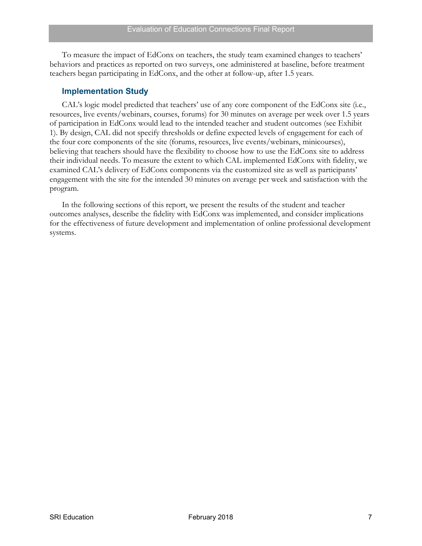To measure the impact of EdConx on teachers, the study team examined changes to teachers' behaviors and practices as reported on two surveys, one administered at baseline, before treatment teachers began participating in EdConx, and the other at follow-up, after 1.5 years.

#### <span id="page-16-0"></span>**Implementation Study**

CAL's logic model predicted that teachers' use of any core component of the EdConx site (i.e., resources, live events/webinars, courses, forums) for 30 minutes on average per week over 1.5 years of participation in EdConx would lead to the intended teacher and student outcomes (see Exhibit 1). By design, CAL did not specify thresholds or define expected levels of engagement for each of the four core components of the site (forums, resources, live events/webinars, minicourses), believing that teachers should have the flexibility to choose how to use the EdConx site to address their individual needs. To measure the extent to which CAL implemented EdConx with fidelity, we examined CAL's delivery of EdConx components via the customized site as well as participants' engagement with the site for the intended 30 minutes on average per week and satisfaction with the program.

In the following sections of this report, we present the results of the student and teacher outcomes analyses, describe the fidelity with EdConx was implemented, and consider implications for the effectiveness of future development and implementation of online professional development systems.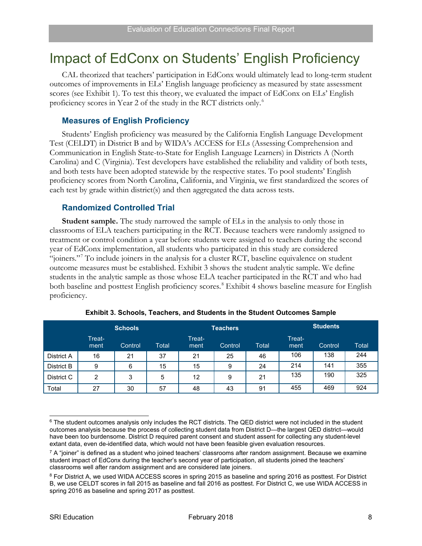# <span id="page-17-0"></span>Impact of EdConx on Students' English Proficiency

CAL theorized that teachers' participation in EdConx would ultimately lead to long-term student outcomes of improvements in ELs' English language proficiency as measured by state assessment scores (see Exhibit 1). To test this theory, we evaluated the impact of EdConx on ELs' English proficiency scores in Year 2 of the study in the RCT districts only.[6](#page-17-4)

### <span id="page-17-1"></span>**Measures of English Proficiency**

Students' English proficiency was measured by the California English Language Development Test (CELDT) in District B and by WIDA's ACCESS for ELs (Assessing Comprehension and Communication in English State-to-State for English Language Learners) in Districts A (North Carolina) and C (Virginia). Test developers have established the reliability and validity of both tests, and both tests have been adopted statewide by the respective states. To pool students' English proficiency scores from North Carolina, California, and Virginia, we first standardized the scores of each test by grade within district(s) and then aggregated the data across tests.

#### <span id="page-17-2"></span>**Randomized Controlled Trial**

**Student sample.** The study narrowed the sample of ELs in the analysis to only those in classrooms of ELA teachers participating in the RCT. Because teachers were randomly assigned to treatment or control condition a year before students were assigned to teachers during the second year of EdConx implementation, all students who participated in this study are considered "joiners."<sup>[7](#page-17-5)</sup> To include joiners in the analysis for a cluster RCT, baseline equivalence on student outcome measures must be established. Exhibit 3 shows the student analytic sample. We define students in the analytic sample as those whose ELA teacher participated in the RCT and who had both baseline and posttest English proficiency scores.<sup>[8](#page-17-6)</sup> Exhibit 4 shows baseline measure for English proficiency.

<span id="page-17-3"></span>

|            | <b>Schools</b> |         |              |                | <b>Teachers</b> |       |                | <b>Students</b> |              |  |
|------------|----------------|---------|--------------|----------------|-----------------|-------|----------------|-----------------|--------------|--|
|            | Treat-<br>ment | Control | <b>Total</b> | Treat-<br>ment | Control         | Total | Treat-<br>ment | Control         | <b>Total</b> |  |
| District A | 16             | 21      | 37           | 21             | 25              | 46    | 106            | 138             | 244          |  |
| District B | 9              | 6       | 15           | 15             | 9               | 24    | 214            | 141             | 355          |  |
| District C | $\overline{2}$ | 3       | 5            | 12             | 9               | 21    | 135            | 190             | 325          |  |
| Total      | 27             | 30      | 57           | 48             | 43              | 91    | 455            | 469             | 924          |  |

**Exhibit 3. Schools, Teachers, and Students in the Student Outcomes Sample** 

<span id="page-17-4"></span> $6$  The student outcomes analysis only includes the RCT districts. The QED district were not included in the student outcomes analysis because the process of collecting student data from District D—the largest QED district—would have been too burdensome. District D required parent consent and student assent for collecting any student-level extant data, even de-identified data, which would not have been feasible given evaluation resources.

<span id="page-17-5"></span> $7$  A "joiner" is defined as a student who joined teachers' classrooms after random assignment. Because we examine student impact of EdConx during the teacher's second year of participation, all students joined the teachers' classrooms well after random assignment and are considered late joiners.

<span id="page-17-6"></span><sup>&</sup>lt;sup>8</sup> For District A, we used WIDA ACCESS scores in spring 2015 as baseline and spring 2016 as posttest. For District B, we use CELDT scores in fall 2015 as baseline and fall 2016 as posttest. For District C, we use WIDA ACCESS in spring 2016 as baseline and spring 2017 as posttest.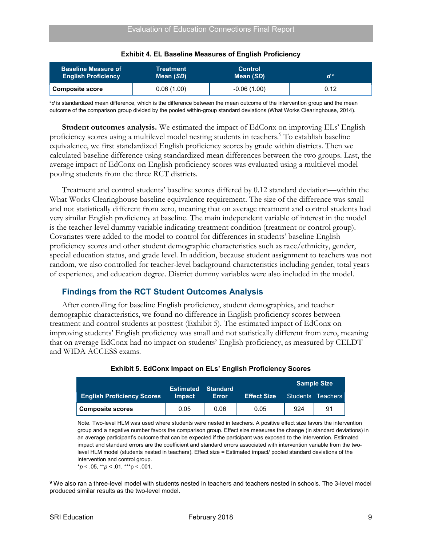<span id="page-18-1"></span>

| <b>Baseline Measure of</b><br><b>English Proficiency</b> | <b>Treatment</b><br>Mean (SD) |               | d a  |  |
|----------------------------------------------------------|-------------------------------|---------------|------|--|
| <b>Composite score</b>                                   | 0.06(1.00)                    | $-0.06(1.00)$ | 0.12 |  |

|  |  | <b>Exhibit 4. EL Baseline Measures of English Proficiency</b> |  |  |
|--|--|---------------------------------------------------------------|--|--|
|--|--|---------------------------------------------------------------|--|--|

<sup>a</sup>d is standardized mean difference, which is the difference between the mean outcome of the intervention group and the mean outcome of the comparison group divided by the pooled within-group standard deviations (What Works Clearinghouse, 2014).

**Student outcomes analysis.** We estimated the impact of EdConx on improving ELs' English proficiency scores using a multilevel model nesting students in teachers. [9](#page-18-3) To establish baseline equivalence, we first standardized English proficiency scores by grade within districts. Then we calculated baseline difference using standardized mean differences between the two groups. Last, the average impact of EdConx on English proficiency scores was evaluated using a multilevel model pooling students from the three RCT districts.

Treatment and control students' baseline scores differed by 0.12 standard deviation—within the What Works Clearinghouse baseline equivalence requirement. The size of the difference was small and not statistically different from zero, meaning that on average treatment and control students had very similar English proficiency at baseline. The main independent variable of interest in the model is the teacher-level dummy variable indicating treatment condition (treatment or control group). Covariates were added to the model to control for differences in students' baseline English proficiency scores and other student demographic characteristics such as race/ethnicity, gender, special education status, and grade level. In addition, because student assignment to teachers was not random, we also controlled for teacher-level background characteristics including gender, total years of experience, and education degree. District dummy variables were also included in the model.

# <span id="page-18-0"></span>**Findings from the RCT Student Outcomes Analysis**

After controlling for baseline English proficiency, student demographics, and teacher demographic characteristics, we found no difference in English proficiency scores between treatment and control students at posttest (Exhibit 5). The estimated impact of EdConx on improving students' English proficiency was small and not statistically different from zero, meaning that on average EdConx had no impact on students' English proficiency, as measured by CELDT and WIDA ACCESS exams.

<span id="page-18-2"></span>

|                                   | <b>Estimated Standard</b> |       |                    |     | <b>Sample Size</b> |
|-----------------------------------|---------------------------|-------|--------------------|-----|--------------------|
| <b>English Proficiency Scores</b> | <b>Impact</b>             | Error | <b>Effect Size</b> |     | Students Teachers  |
| <b>Composite scores</b>           | 0.05                      | 0.06  | 0.05               | 924 | 91                 |

#### **Exhibit 5. EdConx Impact on ELs' English Proficiency Scores**

Note. Two-level HLM was used where students were nested in teachers. A positive effect size favors the intervention group and a negative number favors the comparison group. Effect size measures the change (in standard deviations) in an average participant's outcome that can be expected if the participant was exposed to the intervention. Estimated impact and standard errors are the coefficient and standard errors associated with intervention variable from the twolevel HLM model (students nested in teachers). Effect size = Estimated impact/ pooled standard deviations of the intervention and control group.

 $*p < .05, **p < .01, **p < .001.$ 

<span id="page-18-3"></span> <sup>9</sup> We also ran a three-level model with students nested in teachers and teachers nested in schools. The 3-level model produced similar results as the two-level model.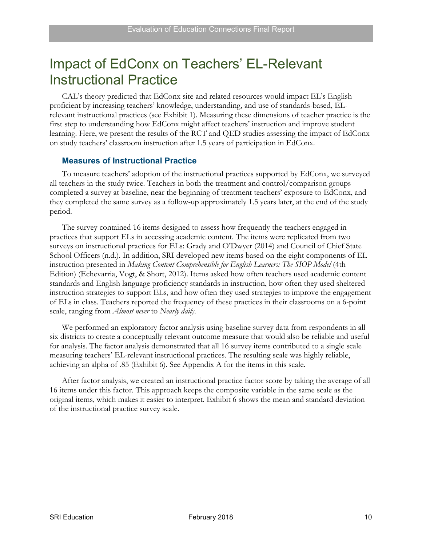# <span id="page-19-0"></span>Impact of EdConx on Teachers' EL-Relevant Instructional Practice

CAL's theory predicted that EdConx site and related resources would impact EL's English proficient by increasing teachers' knowledge, understanding, and use of standards-based, ELrelevant instructional practices (see Exhibit 1). Measuring these dimensions of teacher practice is the first step to understanding how EdConx might affect teachers' instruction and improve student learning. Here, we present the results of the RCT and QED studies assessing the impact of EdConx on study teachers' classroom instruction after 1.5 years of participation in EdConx.

#### <span id="page-19-1"></span>**Measures of Instructional Practice**

To measure teachers' adoption of the instructional practices supported by EdConx, we surveyed all teachers in the study twice. Teachers in both the treatment and control/comparison groups completed a survey at baseline, near the beginning of treatment teachers' exposure to EdConx, and they completed the same survey as a follow-up approximately 1.5 years later, at the end of the study period.

The survey contained 16 items designed to assess how frequently the teachers engaged in practices that support ELs in accessing academic content. The items were replicated from two surveys on instructional practices for ELs: Grady and O'Dwyer (2014) and Council of Chief State School Officers (n.d.). In addition, SRI developed new items based on the eight components of EL instruction presented in *Making Content Comprehensible for English Learners: The SIOP Model* (4th Edition) (Echevarria, Vogt, & Short, 2012). Items asked how often teachers used academic content standards and English language proficiency standards in instruction, how often they used sheltered instruction strategies to support ELs, and how often they used strategies to improve the engagement of ELs in class. Teachers reported the frequency of these practices in their classrooms on a 6-point scale, ranging from *Almost never* to *Nearly daily*.

We performed an exploratory factor analysis using baseline survey data from respondents in all six districts to create a conceptually relevant outcome measure that would also be reliable and useful for analysis. The factor analysis demonstrated that all 16 survey items contributed to a single scale measuring teachers' EL-relevant instructional practices. The resulting scale was highly reliable, achieving an alpha of .85 (Exhibit 6). See Appendix A for the items in this scale.

After factor analysis, we created an instructional practice factor score by taking the average of all 16 items under this factor. This approach keeps the composite variable in the same scale as the original items, which makes it easier to interpret. Exhibit 6 shows the mean and standard deviation of the instructional practice survey scale.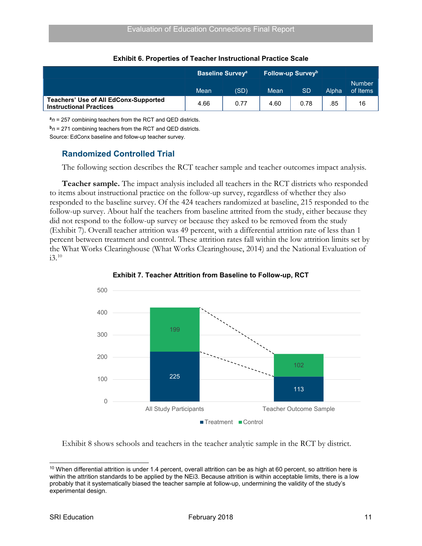<span id="page-20-1"></span>

|                                                                                | <b>Baseline Survey</b> <sup>a</sup> |      | ˈ Follow-up Survey <sup>b</sup> ˌ |           |       |                           |
|--------------------------------------------------------------------------------|-------------------------------------|------|-----------------------------------|-----------|-------|---------------------------|
|                                                                                | Mean                                | (SD) | Mean                              | <b>SD</b> | Alpha | <b>Number</b><br>of Items |
| <b>Teachers' Use of All EdConx-Supported</b><br><b>Instructional Practices</b> | 4.66                                | 0.77 | 4.60                              | 0.78      | .85   | 16                        |

#### **Exhibit 6. Properties of Teacher Instructional Practice Scale**

**<sup>a</sup>***n* = 257 combining teachers from the RCT and QED districts.

**<sup>b</sup>***n* = 271 combining teachers from the RCT and QED districts.

Source: EdConx baseline and follow-up teacher survey.

#### <span id="page-20-0"></span>**Randomized Controlled Trial**

The following section describes the RCT teacher sample and teacher outcomes impact analysis.

**Teacher sample.** The impact analysis included all teachers in the RCT districts who responded to items about instructional practice on the follow-up survey, regardless of whether they also responded to the baseline survey. Of the 424 teachers randomized at baseline, 215 responded to the follow-up survey. About half the teachers from baseline attrited from the study, either because they did not respond to the follow-up survey or because they asked to be removed from the study (Exhibit 7). Overall teacher attrition was 49 percent, with a differential attrition rate of less than 1 percent between treatment and control. These attrition rates fall within the low attrition limits set by the What Works Clearinghouse (What Works Clearinghouse, 2014) and the National Evaluation of  $i3.^{10}$  $i3.^{10}$  $i3.^{10}$ 

<span id="page-20-2"></span>



Exhibit 8 shows schools and teachers in the teacher analytic sample in the RCT by district.

<span id="page-20-3"></span> $10$  When differential attrition is under 1.4 percent, overall attrition can be as high at 60 percent, so attrition here is within the attrition standards to be applied by the NEi3. Because attrition is within acceptable limits, there is a low probably that it systematically biased the teacher sample at follow-up, undermining the validity of the study's experimental design.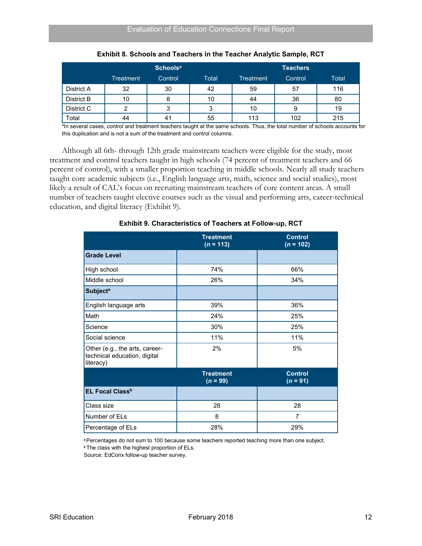<span id="page-21-0"></span>

|            | Schools <sup>a</sup> |         |       | <b>Teachers</b> |         |       |
|------------|----------------------|---------|-------|-----------------|---------|-------|
|            | Treatment            | Control | Total | Treatment       | Control | Total |
| District A | 32                   | 30      | 42    | 59              | 57      | 116   |
| District B | 10                   | 8       | 10    | 44              | 36      | 80    |
| District C | າ                    | 3       | ຈ     | 10              | 9       | 19    |
| Total      | 44                   | 41      | 55    | 113             | 102     | 215   |

| Exhibit 8. Schools and Teachers in the Teacher Analytic Sample, RCT |  |  |  |
|---------------------------------------------------------------------|--|--|--|
|---------------------------------------------------------------------|--|--|--|

a In several cases, control and treatment teachers taught at the same schools. Thus, the total number of schools accounts for this duplication and is not a sum of the treatment and control columns.

Although all 6th- through 12th grade mainstream teachers were eligible for the study, most treatment and control teachers taught in high schools (74 percent of treatment teachers and 66 percent of control), with a smaller proportion teaching in middle schools. Nearly all study teachers taught core academic subjects (i.e., English language arts, math, science and social studies), most likely a result of CAL's focus on recruiting mainstream teachers of core content areas. A small number of teachers taught elective courses such as the visual and performing arts, career-technical education, and digital literacy (Exhibit 9).

<span id="page-21-1"></span>

|                                                                             | <b>Treatment</b><br>$(n = 113)$ | <b>Control</b><br>$(n = 102)$ |
|-----------------------------------------------------------------------------|---------------------------------|-------------------------------|
| <b>Grade Level</b>                                                          |                                 |                               |
| High school                                                                 | 74%                             | 66%                           |
| Middle school                                                               | 26%                             | 34%                           |
| <b>Subject<sup>a</sup></b>                                                  |                                 |                               |
| English language arts                                                       | 39%                             | 36%                           |
| Math                                                                        | 24%                             | 25%                           |
| Science                                                                     | 30%                             | 25%                           |
| Social science                                                              | 11%                             | 11%                           |
| Other (e.g., the arts, career-<br>technical education, digital<br>literacy) | 2%                              | 5%                            |
|                                                                             | <b>Treatment</b><br>$(n = 99)$  | <b>Control</b><br>$(n = 91)$  |
| <b>EL Focal Class<sup>b</sup></b>                                           |                                 |                               |
| Class size                                                                  | 28                              | 28                            |
| Number of ELs                                                               | 8                               | 7                             |
| Percentage of ELs                                                           | 28%                             | 29%                           |

#### **Exhibit 9. Characteristics of Teachers at Follow-up, RCT**

**<sup>a</sup>**Percentages do not sum to 100 because some teachers reported teaching more than one subject. **b** The class with the highest proportion of ELs.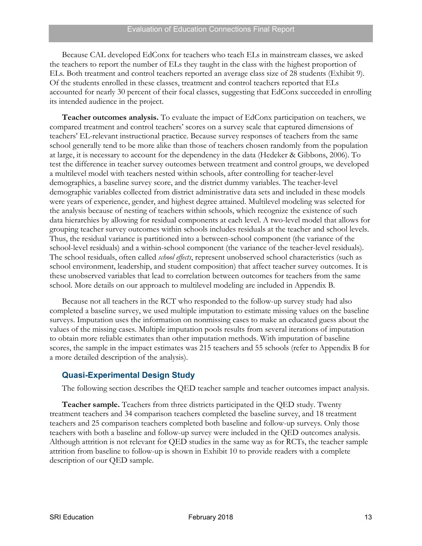Because CAL developed EdConx for teachers who teach ELs in mainstream classes, we asked the teachers to report the number of ELs they taught in the class with the highest proportion of ELs. Both treatment and control teachers reported an average class size of 28 students (Exhibit 9). Of the students enrolled in these classes, treatment and control teachers reported that ELs accounted for nearly 30 percent of their focal classes, suggesting that EdConx succeeded in enrolling its intended audience in the project.

**Teacher outcomes analysis.** To evaluate the impact of EdConx participation on teachers, we compared treatment and control teachers' scores on a survey scale that captured dimensions of teachers' EL-relevant instructional practice. Because survey responses of teachers from the same school generally tend to be more alike than those of teachers chosen randomly from the population at large, it is necessary to account for the dependency in the data (Hedeker & Gibbons, 2006). To test the difference in teacher survey outcomes between treatment and control groups, we developed a multilevel model with teachers nested within schools, after controlling for teacher-level demographics, a baseline survey score, and the district dummy variables. The teacher-level demographic variables collected from district administrative data sets and included in these models were years of experience, gender, and highest degree attained. Multilevel modeling was selected for the analysis because of nesting of teachers within schools, which recognize the existence of such data hierarchies by allowing for residual components at each level. A two-level model that allows for grouping teacher survey outcomes within schools includes residuals at the teacher and school levels. Thus, the residual variance is partitioned into a between-school component (the variance of the school-level residuals) and a within-school component (the variance of the teacher-level residuals). The school residuals, often called *school effects*, represent unobserved school characteristics (such as school environment, leadership, and student composition) that affect teacher survey outcomes. It is these unobserved variables that lead to correlation between outcomes for teachers from the same school. More details on our approach to multilevel modeling are included in Appendix B.

Because not all teachers in the RCT who responded to the follow-up survey study had also completed a baseline survey, we used multiple imputation to estimate missing values on the baseline surveys. Imputation uses the information on nonmissing cases to make an educated guess about the values of the missing cases. Multiple imputation pools results from several iterations of imputation to obtain more reliable estimates than other imputation methods. With imputation of baseline scores, the sample in the impact estimates was 215 teachers and 55 schools (refer to Appendix B for a more detailed description of the analysis).

### <span id="page-22-0"></span>**Quasi-Experimental Design Study**

The following section describes the QED teacher sample and teacher outcomes impact analysis.

**Teacher sample.** Teachers from three districts participated in the QED study. Twenty treatment teachers and 34 comparison teachers completed the baseline survey, and 18 treatment teachers and 25 comparison teachers completed both baseline and follow-up surveys. Only those teachers with both a baseline and follow-up survey were included in the QED outcomes analysis. Although attrition is not relevant for QED studies in the same way as for RCTs, the teacher sample attrition from baseline to follow-up is shown in Exhibit 10 to provide readers with a complete description of our QED sample.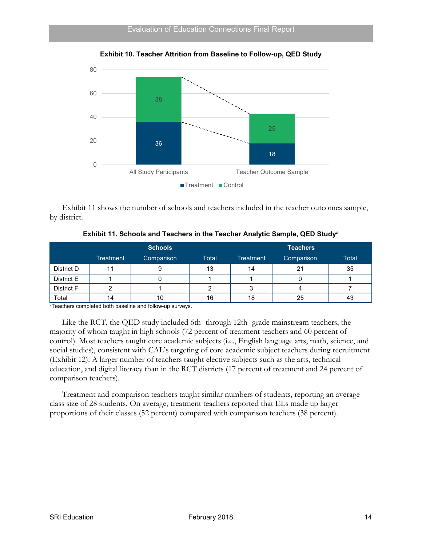<span id="page-23-0"></span>

**Exhibit 10. Teacher Attrition from Baseline to Follow-up, QED Study** 

Exhibit 11 shows the number of schools and teachers included in the teacher outcomes sample, by district.

<span id="page-23-1"></span>

|            | <b>Schools</b>   |            |       | <b>Teachers</b>  |            |       |  |
|------------|------------------|------------|-------|------------------|------------|-------|--|
|            | <b>Treatment</b> | Comparison | Total | <b>Treatment</b> | Comparison | Total |  |
| District D |                  |            | 13    | 14               | 21         | 35    |  |
| District E |                  |            |       |                  |            |       |  |
| District F |                  |            |       |                  |            |       |  |
| Total      | 14               | 10         | 16    | 18               | 25         | 40    |  |

**Exhibit 11. Schools and Teachers in the Teacher Analytic Sample, QED Studya**

a Teachers completed both baseline and follow-up surveys.

Like the RCT, the QED study included 6th- through 12th- grade mainstream teachers, the majority of whom taught in high schools (72 percent of treatment teachers and 60 percent of control). Most teachers taught core academic subjects (i.e., English language arts, math, science, and social studies), consistent with CAL's targeting of core academic subject teachers during recruitment (Exhibit 12). A larger number of teachers taught elective subjects such as the arts, technical education, and digital literacy than in the RCT districts (17 percent of treatment and 24 percent of comparison teachers).

Treatment and comparison teachers taught similar numbers of students, reporting an average class size of 28 students. On average, treatment teachers reported that ELs made up larger proportions of their classes (52 percent) compared with comparison teachers (38 percent).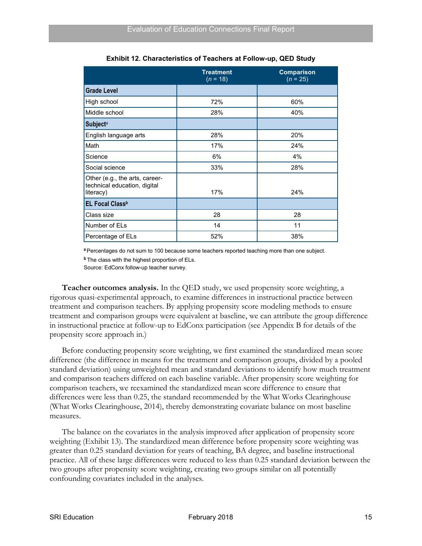<span id="page-24-0"></span>

|                                                                             | <b>Treatment</b><br>$(n = 18)$ | <b>Comparison</b><br>$(n = 25)$ |
|-----------------------------------------------------------------------------|--------------------------------|---------------------------------|
| <b>Grade Level</b>                                                          |                                |                                 |
| High school                                                                 | 72%                            | 60%                             |
| Middle school                                                               | 28%                            | 40%                             |
| <b>Subjecta</b>                                                             |                                |                                 |
| English language arts                                                       | 28%                            | 20%                             |
| Math                                                                        | 17%                            | 24%                             |
| Science                                                                     | 6%                             | 4%                              |
| Social science                                                              | 33%                            | 28%                             |
| Other (e.g., the arts, career-<br>technical education, digital<br>literacy) | 17%                            | 24%                             |
| <b>EL Focal Classb</b>                                                      |                                |                                 |
| Class size                                                                  | 28                             | 28                              |
| Number of ELs                                                               | 14                             | 11                              |
| Percentage of ELs                                                           | 52%                            | 38%                             |

**Exhibit 12. Characteristics of Teachers at Follow-up, QED Study**

**<sup>a</sup>**Percentages do not sum to 100 because some teachers reported teaching more than one subject. **b** The class with the highest proportion of ELs.

Source: EdConx follow-up teacher survey.

**Teacher outcomes analysis.** In the QED study, we used propensity score weighting, a rigorous quasi-experimental approach, to examine differences in instructional practice between treatment and comparison teachers. By applying propensity score modeling methods to ensure treatment and comparison groups were equivalent at baseline, we can attribute the group difference in instructional practice at follow-up to EdConx participation (see Appendix B for details of the propensity score approach in.)

Before conducting propensity score weighting, we first examined the standardized mean score difference (the difference in means for the treatment and comparison groups, divided by a pooled standard deviation) using unweighted mean and standard deviations to identify how much treatment and comparison teachers differed on each baseline variable. After propensity score weighting for comparison teachers, we reexamined the standardized mean score difference to ensure that differences were less than 0.25, the standard recommended by the What Works Clearinghouse (What Works Clearinghouse, 2014), thereby demonstrating covariate balance on most baseline measures.

The balance on the covariates in the analysis improved after application of propensity score weighting (Exhibit 13). The standardized mean difference before propensity score weighting was greater than 0.25 standard deviation for years of teaching, BA degree, and baseline instructional practice. All of these large differences were reduced to less than 0.25 standard deviation between the two groups after propensity score weighting, creating two groups similar on all potentially confounding covariates included in the analyses.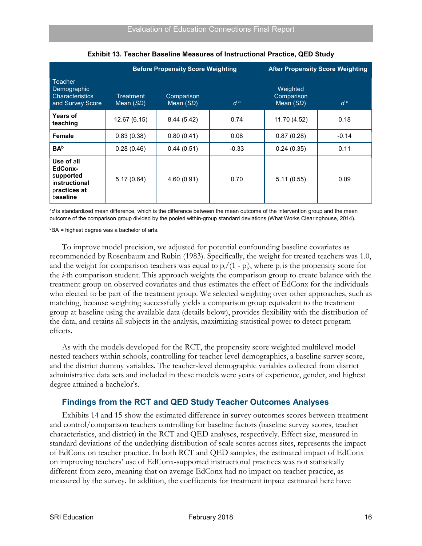<span id="page-25-1"></span>

|                                                                                 |                        | <b>Before Propensity Score Weighting</b> |         | <b>After Propensity Score Weighting</b> |         |
|---------------------------------------------------------------------------------|------------------------|------------------------------------------|---------|-----------------------------------------|---------|
| <b>Teacher</b><br>Demographic<br><b>Characteristics</b><br>and Survey Score     | Treatment<br>Mean (SD) | Comparison<br>Mean (SD)                  | $d^a$   | Weighted<br>Comparison<br>Mean (SD)     | $d^a$   |
| <b>Years of</b><br>teaching                                                     | 12.67(6.15)            | 8.44(5.42)                               | 0.74    | 11.70 (4.52)                            | 0.18    |
| Female                                                                          | 0.83(0.38)             | 0.80(0.41)                               | 0.08    | 0.87(0.28)                              | $-0.14$ |
| <b>BA</b> <sup>b</sup>                                                          | 0.28(0.46)             | 0.44(0.51)                               | $-0.33$ | 0.24(0.35)                              | 0.11    |
| Use of all<br>EdConx-<br>supported<br>instructional<br>practices at<br>baseline | 5.17(0.64)             | 4.60(0.91)                               | 0.70    | 5.11(0.55)                              | 0.09    |

**Exhibit 13. Teacher Baseline Measures of Instructional Practice, QED Study**

<sup>a</sup>d is standardized mean difference, which is the difference between the mean outcome of the intervention group and the mean outcome of the comparison group divided by the pooled within-group standard deviations (What Works Clearinghouse, 2014).

 $^{\rm b}$ BA = highest degree was a bachelor of arts.

To improve model precision, we adjusted for potential confounding baseline covariates as recommended by Rosenbaum and Rubin (1983). Specifically, the weight for treated teachers was 1.0, and the weight for comparison teachers was equal to  $p_i/(1 - p_i)$ , where  $p_i$  is the propensity score for the *i*-th comparison student. This approach weights the comparison group to create balance with the treatment group on observed covariates and thus estimates the effect of EdConx for the individuals who elected to be part of the treatment group. We selected weighting over other approaches, such as matching, because weighting successfully yields a comparison group equivalent to the treatment group at baseline using the available data (details below), provides flexibility with the distribution of the data, and retains all subjects in the analysis, maximizing statistical power to detect program effects.

As with the models developed for the RCT, the propensity score weighted multilevel model nested teachers within schools, controlling for teacher-level demographics, a baseline survey score, and the district dummy variables. The teacher-level demographic variables collected from district administrative data sets and included in these models were years of experience, gender, and highest degree attained a bachelor's.

### <span id="page-25-0"></span>**Findings from the RCT and QED Study Teacher Outcomes Analyses**

Exhibits 14 and 15 show the estimated difference in survey outcomes scores between treatment and control/comparison teachers controlling for baseline factors (baseline survey scores, teacher characteristics, and district) in the RCT and QED analyses, respectively. Effect size, measured in standard deviations of the underlying distribution of scale scores across sites, represents the impact of EdConx on teacher practice. In both RCT and QED samples, the estimated impact of EdConx on improving teachers' use of EdConx-supported instructional practices was not statistically different from zero, meaning that on average EdConx had no impact on teacher practice, as measured by the survey. In addition, the coefficients for treatment impact estimated here have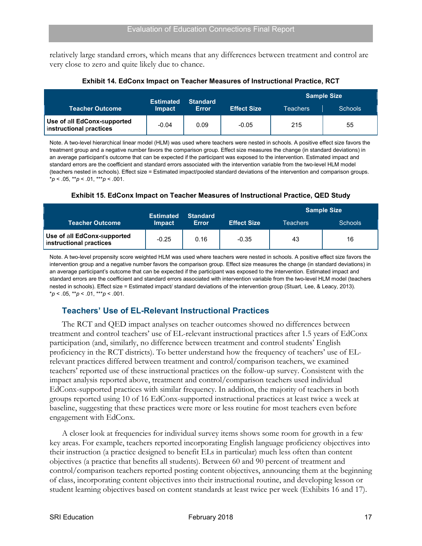relatively large standard errors, which means that any differences between treatment and control are very close to zero and quite likely due to chance.

<span id="page-26-1"></span>

|                                                        | <b>Estimated</b> | <b>Standard</b> |                    |          | <b>Sample Size</b> |
|--------------------------------------------------------|------------------|-----------------|--------------------|----------|--------------------|
| <b>Teacher Outcome</b>                                 | <b>Impact</b>    | <b>Error</b>    | <b>Effect Size</b> | Teachers | <b>Schools</b>     |
| Use of all EdConx-supported<br>instructional practices | $-0.04$          | 0.09            | $-0.05$            | 215      | 55                 |

**Exhibit 14. EdConx Impact on Teacher Measures of Instructional Practice, RCT**

Note. A two-level hierarchical linear model (HLM) was used where teachers were nested in schools. A positive effect size favors the treatment group and a negative number favors the comparison group. Effect size measures the change (in standard deviations) in an average participant's outcome that can be expected if the participant was exposed to the intervention. Estimated impact and standard errors are the coefficient and standard errors associated with the intervention variable from the two-level HLM model (teachers nested in schools). Effect size = Estimated impact/pooled standard deviations of the intervention and comparison groups.  $* p < .05, ** p < .01, ** p < .001.$ 

#### **Exhibit 15. EdConx Impact on Teacher Measures of Instructional Practice, QED Study**

<span id="page-26-2"></span>

|                                                        | <b>Estimated</b> | <b>Standard</b> |                    |          | <b>Sample Size</b> |
|--------------------------------------------------------|------------------|-----------------|--------------------|----------|--------------------|
| <b>Teacher Outcome</b>                                 | <b>Impact</b>    | Error           | <b>Effect Size</b> | Teachers | <b>Schools</b>     |
| Use of all EdConx-supported<br>instructional practices | $-0.25$          | 0.16            | $-0.35$            | 43       | 16                 |

Note. A two-level propensity score weighted HLM was used where teachers were nested in schools. A positive effect size favors the intervention group and a negative number favors the comparison group. Effect size measures the change (in standard deviations) in an average participant's outcome that can be expected if the participant was exposed to the intervention. Estimated impact and standard errors are the coefficient and standard errors associated with intervention variable from the two-level HLM model (teachers nested in schools). Effect size = Estimated impact/ standard deviations of the intervention group (Stuart, Lee, & Leacy, 2013).  $* p < .05, ** p < .01, ** p < .001.$ 

# <span id="page-26-0"></span>**Teachers' Use of EL-Relevant Instructional Practices**

The RCT and QED impact analyses on teacher outcomes showed no differences between treatment and control teachers' use of EL-relevant instructional practices after 1.5 years of EdConx participation (and, similarly, no difference between treatment and control students' English proficiency in the RCT districts). To better understand how the frequency of teachers' use of ELrelevant practices differed between treatment and control/comparison teachers, we examined teachers' reported use of these instructional practices on the follow-up survey. Consistent with the impact analysis reported above, treatment and control/comparison teachers used individual EdConx-supported practices with similar frequency. In addition, the majority of teachers in both groups reported using 10 of 16 EdConx-supported instructional practices at least twice a week at baseline, suggesting that these practices were more or less routine for most teachers even before engagement with EdConx.

A closer look at frequencies for individual survey items shows some room for growth in a few key areas. For example, teachers reported incorporating English language proficiency objectives into their instruction (a practice designed to benefit ELs in particular) much less often than content objectives (a practice that benefits all students). Between 60 and 90 percent of treatment and control/comparison teachers reported posting content objectives, announcing them at the beginning of class, incorporating content objectives into their instructional routine, and developing lesson or student learning objectives based on content standards at least twice per week (Exhibits 16 and 17).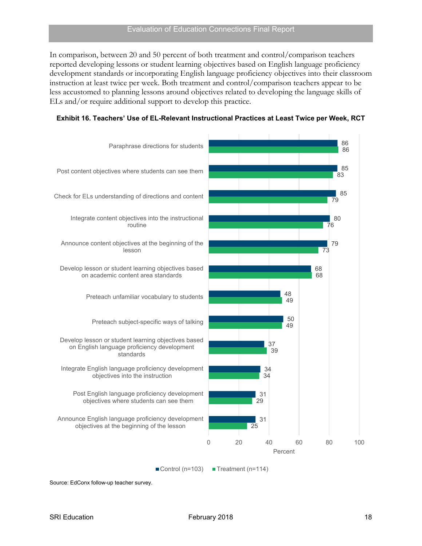In comparison, between 20 and 50 percent of both treatment and control/comparison teachers reported developing lessons or student learning objectives based on English language proficiency development standards or incorporating English language proficiency objectives into their classroom instruction at least twice per week. Both treatment and control/comparison teachers appear to be less accustomed to planning lessons around objectives related to developing the language skills of ELs and/or require additional support to develop this practice.



<span id="page-27-0"></span>

|  |  |  |  | Exhibit 16. Teachers' Use of EL-Relevant Instructional Practices at Least Twice per Week, RCT |  |  |  |  |
|--|--|--|--|-----------------------------------------------------------------------------------------------|--|--|--|--|
|--|--|--|--|-----------------------------------------------------------------------------------------------|--|--|--|--|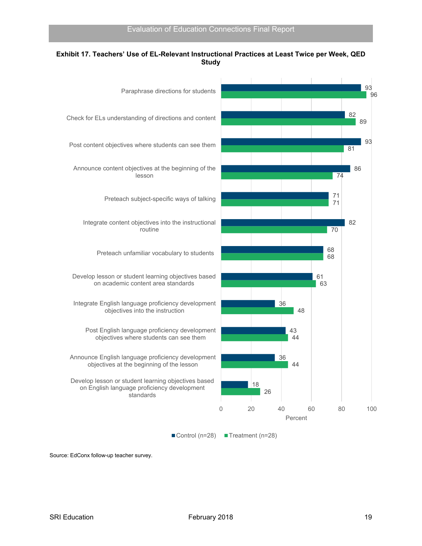

#### <span id="page-28-0"></span>**Exhibit 17. Teachers' Use of EL-Relevant Instructional Practices at Least Twice per Week, QED Study**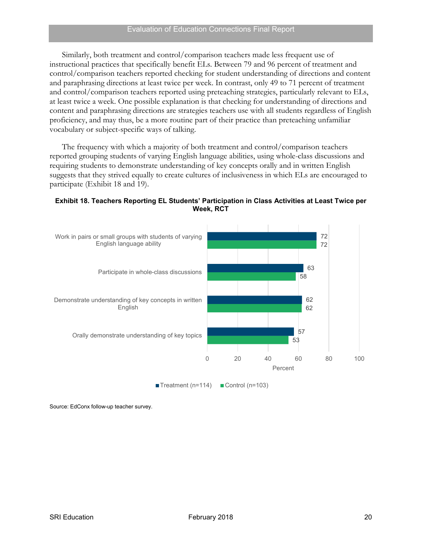Similarly, both treatment and control/comparison teachers made less frequent use of instructional practices that specifically benefit ELs. Between 79 and 96 percent of treatment and control/comparison teachers reported checking for student understanding of directions and content and paraphrasing directions at least twice per week. In contrast, only 49 to 71 percent of treatment and control/comparison teachers reported using preteaching strategies, particularly relevant to ELs, at least twice a week. One possible explanation is that checking for understanding of directions and content and paraphrasing directions are strategies teachers use with all students regardless of English proficiency, and may thus, be a more routine part of their practice than preteaching unfamiliar vocabulary or subject-specific ways of talking.

The frequency with which a majority of both treatment and control/comparison teachers reported grouping students of varying English language abilities, using whole-class discussions and requiring students to demonstrate understanding of key concepts orally and in written English suggests that they strived equally to create cultures of inclusiveness in which ELs are encouraged to participate (Exhibit 18 and 19).

<span id="page-29-0"></span>

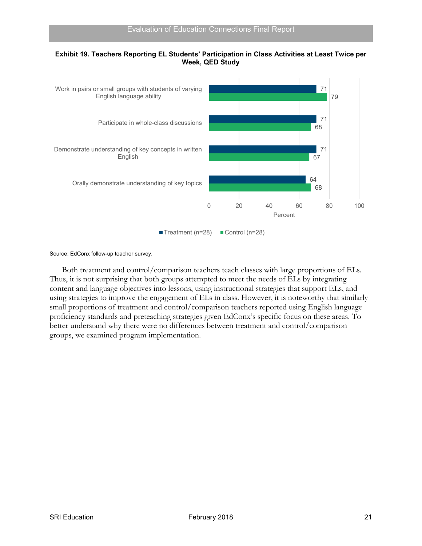

#### <span id="page-30-0"></span>**Exhibit 19. Teachers Reporting EL Students' Participation in Class Activities at Least Twice per Week, QED Study**

#### Source: EdConx follow-up teacher survey.

Both treatment and control/comparison teachers teach classes with large proportions of ELs. Thus, it is not surprising that both groups attempted to meet the needs of ELs by integrating content and language objectives into lessons, using instructional strategies that support ELs, and using strategies to improve the engagement of ELs in class. However, it is noteworthy that similarly small proportions of treatment and control/comparison teachers reported using English language proficiency standards and preteaching strategies given EdConx's specific focus on these areas. To better understand why there were no differences between treatment and control/comparison groups, we examined program implementation.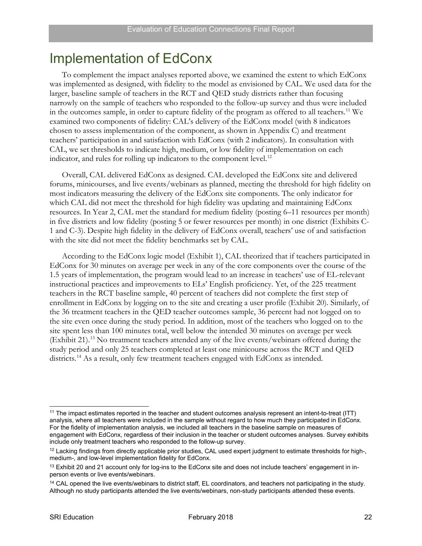# <span id="page-31-0"></span>Implementation of EdConx

To complement the impact analyses reported above, we examined the extent to which EdConx was implemented as designed, with fidelity to the model as envisioned by CAL. We used data for the larger, baseline sample of teachers in the RCT and QED study districts rather than focusing narrowly on the sample of teachers who responded to the follow-up survey and thus were included in the outcomes sample, in order to capture fidelity of the program as offered to all teachers.<sup>[11](#page-31-1)</sup> We examined two components of fidelity: CAL's delivery of the EdConx model (with 8 indicators chosen to assess implementation of the component, as shown in Appendix C) and treatment teachers' participation in and satisfaction with EdConx (with 2 indicators). In consultation with CAL, we set thresholds to indicate high, medium, or low fidelity of implementation on each indicator, and rules for rolling up indicators to the component level.<sup>[12](#page-31-2)</sup>

Overall, CAL delivered EdConx as designed. CAL developed the EdConx site and delivered forums, minicourses, and live events/webinars as planned, meeting the threshold for high fidelity on most indicators measuring the delivery of the EdConx site components. The only indicator for which CAL did not meet the threshold for high fidelity was updating and maintaining EdConx resources. In Year 2, CAL met the standard for medium fidelity (posting 6–11 resources per month) in five districts and low fidelity (posting 5 or fewer resources per month) in one district (Exhibits C-1 and C-3). Despite high fidelity in the delivery of EdConx overall, teachers' use of and satisfaction with the site did not meet the fidelity benchmarks set by CAL.

According to the EdConx logic model (Exhibit 1), CAL theorized that if teachers participated in EdConx for 30 minutes on average per week in any of the core components over the course of the 1.5 years of implementation, the program would lead to an increase in teachers' use of EL-relevant instructional practices and improvements to ELs' English proficiency. Yet, of the 225 treatment teachers in the RCT baseline sample, 40 percent of teachers did not complete the first step of enrollment in EdConx by logging on to the site and creating a user profile (Exhibit 20). Similarly, of the 36 treatment teachers in the QED teacher outcomes sample, 36 percent had not logged on to the site even once during the study period. In addition, most of the teachers who logged on to the site spent less than 100 minutes total, well below the intended 30 minutes on average per week (Exhibit 21).[13](#page-31-3) No treatment teachers attended any of the live events/webinars offered during the study period and only 25 teachers completed at least one minicourse across the RCT and QED districts.<sup>[14](#page-31-4)</sup> As a result, only few treatment teachers engaged with EdConx as intended.

<span id="page-31-1"></span> <sup>11</sup> The impact estimates reported in the teacher and student outcomes analysis represent an intent-to-treat (ITT) analysis, where all teachers were included in the sample without regard to how much they participated in EdConx. For the fidelity of implementation analysis, we included all teachers in the baseline sample on measures of engagement with EdConx, regardless of their inclusion in the teacher or student outcomes analyses. Survey exhibits include only treatment teachers who responded to the follow-up survey.

<span id="page-31-2"></span><sup>&</sup>lt;sup>12</sup> Lacking findings from directly applicable prior studies, CAL used expert judgment to estimate thresholds for high-, medium-, and low-level implementation fidelity for EdConx.

<span id="page-31-3"></span><sup>&</sup>lt;sup>13</sup> Exhibit 20 and 21 account only for log-ins to the EdConx site and does not include teachers' engagement in inperson events or live events/webinars.

<span id="page-31-4"></span><sup>&</sup>lt;sup>14</sup> CAL opened the live events/webinars to district staff, EL coordinators, and teachers not participating in the study. Although no study participants attended the live events/webinars, non-study participants attended these events.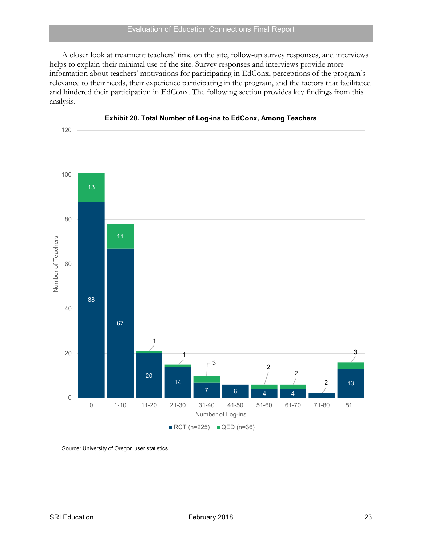A closer look at treatment teachers' time on the site, follow-up survey responses, and interviews helps to explain their minimal use of the site. Survey responses and interviews provide more information about teachers' motivations for participating in EdConx, perceptions of the program's relevance to their needs, their experience participating in the program, and the factors that facilitated and hindered their participation in EdConx. The following section provides key findings from this analysis.

<span id="page-32-0"></span>



Source: University of Oregon user statistics.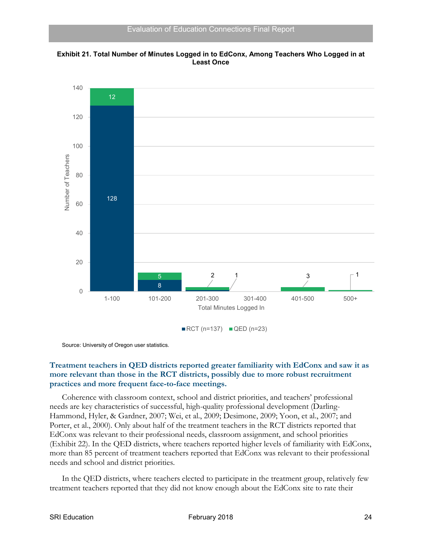<span id="page-33-0"></span>



Source: University of Oregon user statistics.

### **Treatment teachers in QED districts reported greater familiarity with EdConx and saw it as more relevant than those in the RCT districts, possibly due to more robust recruitment practices and more frequent face-to-face meetings.**

Coherence with classroom context, school and district priorities, and teachers' professional needs are key characteristics of successful, high-quality professional development (Darling-Hammond, Hyler, & Gardner, 2007; Wei, et al., 2009; Desimone, 2009; Yoon, et al., 2007; and Porter, et al., 2000). Only about half of the treatment teachers in the RCT districts reported that EdConx was relevant to their professional needs, classroom assignment, and school priorities (Exhibit 22). In the QED districts, where teachers reported higher levels of familiarity with EdConx, more than 85 percent of treatment teachers reported that EdConx was relevant to their professional needs and school and district priorities.

In the QED districts, where teachers elected to participate in the treatment group, relatively few treatment teachers reported that they did not know enough about the EdConx site to rate their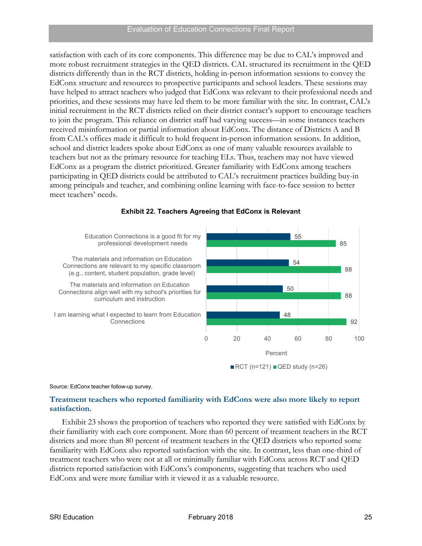satisfaction with each of its core components. This difference may be due to CAL's improved and more robust recruitment strategies in the QED districts. CAL structured its recruitment in the QED districts differently than in the RCT districts, holding in-person information sessions to convey the EdConx structure and resources to prospective participants and school leaders. These sessions may have helped to attract teachers who judged that EdConx was relevant to their professional needs and priorities, and these sessions may have led them to be more familiar with the site. In contrast, CAL's initial recruitment in the RCT districts relied on their district contact's support to encourage teachers to join the program. This reliance on district staff had varying success—in some instances teachers received misinformation or partial information about EdConx. The distance of Districts A and B from CAL's offices made it difficult to hold frequent in-person information sessions. In addition, school and district leaders spoke about EdConx as one of many valuable resources available to teachers but not as the primary resource for teaching ELs. Thus, teachers may not have viewed EdConx as a program the district prioritized. Greater familiarity with EdConx among teachers participating in QED districts could be attributed to CAL's recruitment practices building buy-in among principals and teacher, and combining online learning with face-to-face session to better meet teachers' needs.

<span id="page-34-0"></span>

#### **Exhibit 22. Teachers Agreeing that EdConx is Relevant**

Source: EdConx teacher follow-up survey.

### **Treatment teachers who reported familiarity with EdConx were also more likely to report satisfaction.**

Exhibit 23 shows the proportion of teachers who reported they were satisfied with EdConx by their familiarity with each core component. More than 60 percent of treatment teachers in the RCT districts and more than 80 percent of treatment teachers in the QED districts who reported some familiarity with EdConx also reported satisfaction with the site. In contrast, less than one-third of treatment teachers who were not at all or minimally familiar with EdConx across RCT and QED districts reported satisfaction with EdConx's components, suggesting that teachers who used EdConx and were more familiar with it viewed it as a valuable resource.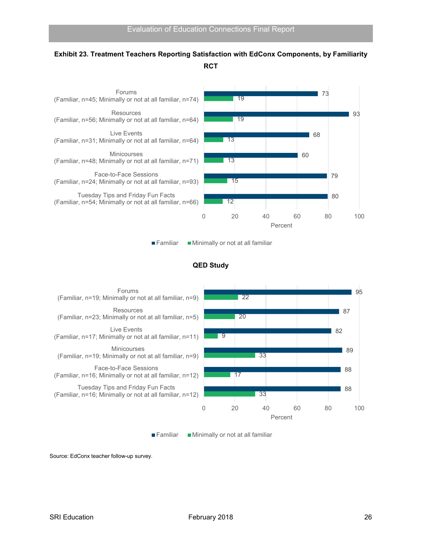# <span id="page-35-0"></span>**Exhibit 23. Treatment Teachers Reporting Satisfaction with EdConx Components, by Familiarity RCT**



■ Familiar ■ Minimally or not at all familiar

#### **QED Study**





Source: EdConx teacher follow-up survey.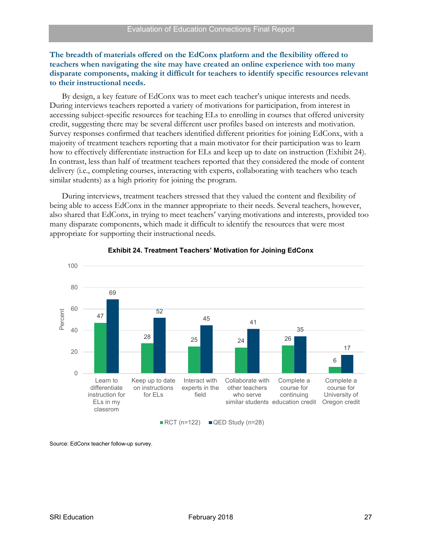#### **The breadth of materials offered on the EdConx platform and the flexibility offered to teachers when navigating the site may have created an online experience with too many disparate components, making it difficult for teachers to identify specific resources relevant to their instructional needs.**

By design, a key feature of EdConx was to meet each teacher's unique interests and needs. During interviews teachers reported a variety of motivations for participation, from interest in accessing subject-specific resources for teaching ELs to enrolling in courses that offered university credit, suggesting there may be several different user profiles based on interests and motivation. Survey responses confirmed that teachers identified different priorities for joining EdConx, with a majority of treatment teachers reporting that a main motivator for their participation was to learn how to effectively differentiate instruction for ELs and keep up to date on instruction (Exhibit 24). In contrast, less than half of treatment teachers reported that they considered the mode of content delivery (i.e., completing courses, interacting with experts, collaborating with teachers who teach similar students) as a high priority for joining the program.

During interviews, treatment teachers stressed that they valued the content and flexibility of being able to access EdConx in the manner appropriate to their needs. Several teachers, however, also shared that EdConx, in trying to meet teachers' varying motivations and interests, provided too many disparate components, which made it difficult to identify the resources that were most appropriate for supporting their instructional needs.

<span id="page-36-0"></span>

#### **Exhibit 24. Treatment Teachers' Motivation for Joining EdConx**

Source: EdConx teacher follow-up survey.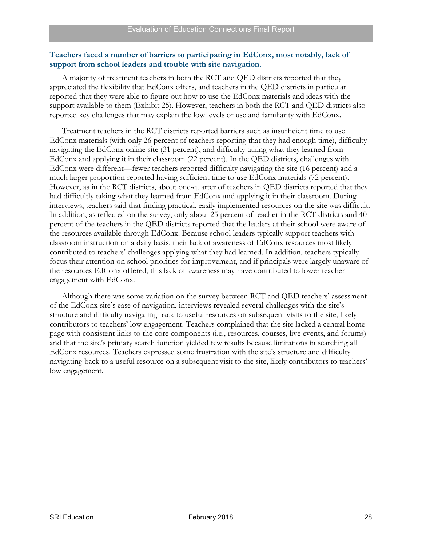#### **Teachers faced a number of barriers to participating in EdConx, most notably, lack of support from school leaders and trouble with site navigation.**

A majority of treatment teachers in both the RCT and QED districts reported that they appreciated the flexibility that EdConx offers, and teachers in the QED districts in particular reported that they were able to figure out how to use the EdConx materials and ideas with the support available to them (Exhibit 25). However, teachers in both the RCT and QED districts also reported key challenges that may explain the low levels of use and familiarity with EdConx.

Treatment teachers in the RCT districts reported barriers such as insufficient time to use EdConx materials (with only 26 percent of teachers reporting that they had enough time), difficulty navigating the EdConx online site (31 percent), and difficulty taking what they learned from EdConx and applying it in their classroom (22 percent). In the QED districts, challenges with EdConx were different—fewer teachers reported difficulty navigating the site (16 percent) and a much larger proportion reported having sufficient time to use EdConx materials (72 percent). However, as in the RCT districts, about one-quarter of teachers in QED districts reported that they had difficultly taking what they learned from EdConx and applying it in their classroom. During interviews, teachers said that finding practical, easily implemented resources on the site was difficult. In addition, as reflected on the survey, only about 25 percent of teacher in the RCT districts and 40 percent of the teachers in the QED districts reported that the leaders at their school were aware of the resources available through EdConx. Because school leaders typically support teachers with classroom instruction on a daily basis, their lack of awareness of EdConx resources most likely contributed to teachers' challenges applying what they had learned. In addition, teachers typically focus their attention on school priorities for improvement, and if principals were largely unaware of the resources EdConx offered, this lack of awareness may have contributed to lower teacher engagement with EdConx.

Although there was some variation on the survey between RCT and QED teachers' assessment of the EdConx site's ease of navigation, interviews revealed several challenges with the site's structure and difficulty navigating back to useful resources on subsequent visits to the site, likely contributors to teachers' low engagement. Teachers complained that the site lacked a central home page with consistent links to the core components (i.e., resources, courses, live events, and forums) and that the site's primary search function yielded few results because limitations in searching all EdConx resources. Teachers expressed some frustration with the site's structure and difficulty navigating back to a useful resource on a subsequent visit to the site, likely contributors to teachers' low engagement.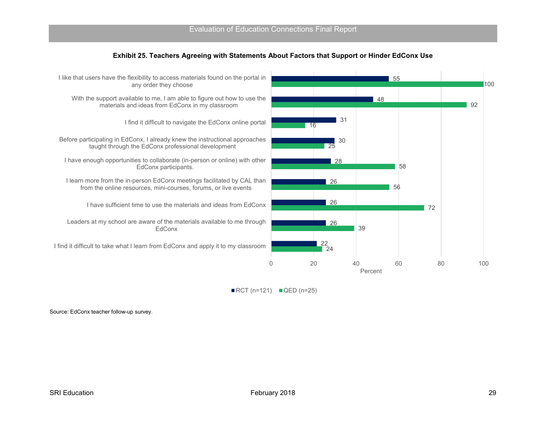

<span id="page-38-0"></span>

 $\blacksquare$  RCT (n=121)  $\blacksquare$  QED (n=25)

Source: EdConx teacher follow-up survey.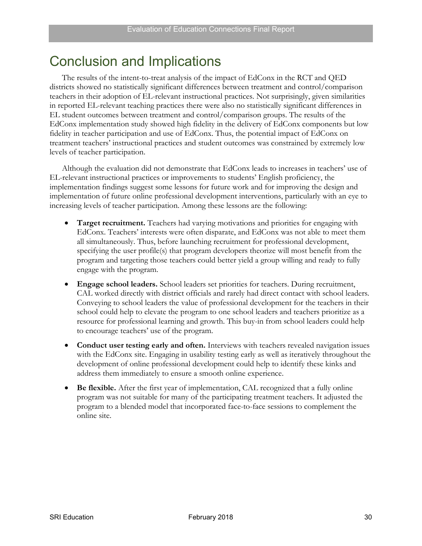# <span id="page-39-0"></span>Conclusion and Implications

The results of the intent-to-treat analysis of the impact of EdConx in the RCT and QED districts showed no statistically significant differences between treatment and control/comparison teachers in their adoption of EL-relevant instructional practices. Not surprisingly, given similarities in reported EL-relevant teaching practices there were also no statistically significant differences in EL student outcomes between treatment and control/comparison groups. The results of the EdConx implementation study showed high fidelity in the delivery of EdConx components but low fidelity in teacher participation and use of EdConx. Thus, the potential impact of EdConx on treatment teachers' instructional practices and student outcomes was constrained by extremely low levels of teacher participation.

Although the evaluation did not demonstrate that EdConx leads to increases in teachers' use of EL-relevant instructional practices or improvements to students' English proficiency, the implementation findings suggest some lessons for future work and for improving the design and implementation of future online professional development interventions, particularly with an eye to increasing levels of teacher participation. Among these lessons are the following:

- **Target recruitment.** Teachers had varying motivations and priorities for engaging with EdConx. Teachers' interests were often disparate, and EdConx was not able to meet them all simultaneously. Thus, before launching recruitment for professional development, specifying the user profile(s) that program developers theorize will most benefit from the program and targeting those teachers could better yield a group willing and ready to fully engage with the program.
- **Engage school leaders.** School leaders set priorities for teachers. During recruitment, CAL worked directly with district officials and rarely had direct contact with school leaders. Conveying to school leaders the value of professional development for the teachers in their school could help to elevate the program to one school leaders and teachers prioritize as a resource for professional learning and growth. This buy-in from school leaders could help to encourage teachers' use of the program.
- **Conduct user testing early and often.** Interviews with teachers revealed navigation issues with the EdConx site. Engaging in usability testing early as well as iteratively throughout the development of online professional development could help to identify these kinks and address them immediately to ensure a smooth online experience.
- **Be flexible.** After the first year of implementation, CAL recognized that a fully online program was not suitable for many of the participating treatment teachers. It adjusted the program to a blended model that incorporated face-to-face sessions to complement the online site.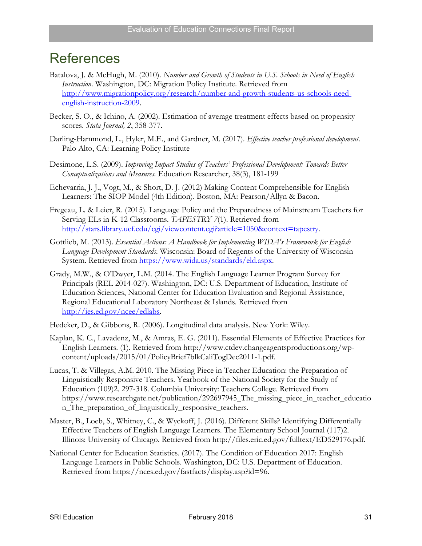# <span id="page-40-0"></span>**References**

- Batalova, J. & McHugh, M. (2010). *Number and Growth of Students in U.S. Schools in Need of English Instruction*. Washington, DC: Migration Policy Institute. Retrieved from [http://www.migrationpolicy.org/research/number-and-growth-students-us-schools-need](http://www.migrationpolicy.org/research/number-and-growth-students-us-schools-need-english-instruction-2009)[english-instruction-2009.](http://www.migrationpolicy.org/research/number-and-growth-students-us-schools-need-english-instruction-2009)
- Becker, S. O., & Ichino, A. (2002). Estimation of average treatment effects based on propensity scores. *Stata Journal, 2*, 358-377.
- Darling-Hammond, L., Hyler, M.E., and Gardner, M. (2017). *Effective teacher professional development*. Palo Alto, CA: Learning Policy Institute
- Desimone, L.S. (2009). *Improving Impact Studies of Teachers' Professional Development: Towards Better Conceptualizations and Measures*. Education Researcher, 38(3), 181-199
- Echevarria, J. J., Vogt, M., & Short, D. J. (2012) Making Content Comprehensible for English Learners: The SIOP Model (4th Edition). Boston, MA: Pearson/Allyn & Bacon.
- Fregeau, L. & Leier, R. (2015). Language Policy and the Preparedness of Mainstream Teachers for Serving ELs in K-12 Classrooms. *TAPESTRY 7*(1). Retrieved from [http://stars.library.ucf.edu/cgi/viewcontent.cgi?article=1050&context=tapestry.](http://stars.library.ucf.edu/cgi/viewcontent.cgi?article=1050&context=tapestry)
- Gottlieb, M. (2013). *Essential Actions: A Handbook for Implementing WIDA's Framework for English Language Development Standards*. Wisconsin: Board of Regents of the University of Wisconsin System. Retrieved from [https://www.wida.us/standards/eld.aspx.](https://www.wida.us/standards/eld.aspx)
- Grady, M.W., & O'Dwyer, L.M. (2014. The English Language Learner Program Survey for Principals (REL 2014-027). Washington, DC: U.S. Department of Education, Institute of Education Sciences, National Center for Education Evaluation and Regional Assistance, Regional Educational Laboratory Northeast & Islands. Retrieved from [http://ies.ed.gov/ncee/edlabs.](http://ies.ed.gov/ncee/edlabs)
- Hedeker, D., & Gibbons, R. (2006). Longitudinal data analysis. New York: Wiley.
- Kaplan, K. C., Lavadenz, M., & Amras, E. G. (2011). Essential Elements of Effective Practices for English Learners. (1). Retrieved from http://www.ctdev.changeagentsproductions.org/wpcontent/uploads/2015/01/PolicyBrief7blkCaliTogDec2011-1.pdf.
- Lucas, T. & Villegas, A.M. 2010. The Missing Piece in Teacher Education: the Preparation of Linguistically Responsive Teachers. Yearbook of the National Society for the Study of Education (109)2. 297-318. Columbia University: Teachers College. Retrieved from https://www.researchgate.net/publication/292697945\_The\_missing\_piece\_in\_teacher\_educatio n\_The\_preparation\_of\_linguistically\_responsive\_teachers.
- Master, B., Loeb, S., Whitney, C., & Wyckoff, J. (2016). Different Skills? Identifying Differentially Effective Teachers of English Language Learners. The Elementary School Journal (117)2. Illinois: University of Chicago. Retrieved from http://files.eric.ed.gov/fulltext/ED529176.pdf.
- National Center for Education Statistics. (2017). The Condition of Education 2017: English Language Learners in Public Schools. Washington, DC: U.S. Department of Education. Retrieved from https://nces.ed.gov/fastfacts/display.asp?id=96.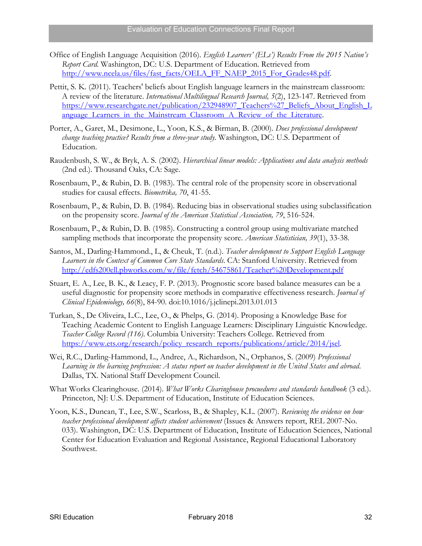- Office of English Language Acquisition (2016). *English Learners' (ELs') Results From the 2015 Nation's Report Card.* Washington, DC: U.S. Department of Education. Retrieved from [http://www.ncela.us/files/fast\\_facts/OELA\\_FF\\_NAEP\\_2015\\_For\\_Grades48.pdf.](http://www.ncela.us/files/fast_facts/OELA_FF_NAEP_2015_For_Grades48.pdf)
- Pettit, S. K. (2011). Teachers' beliefs about English language learners in the mainstream classroom: A review of the literature. *International Multilingual Research Journal, 5*(2), 123-147. Retrieved from [https://www.researchgate.net/publication/232948907\\_Teachers%27\\_Beliefs\\_About\\_English\\_L](https://www.researchgate.net/publication/232948907_Teachers%27_Beliefs_About_English_Language_Learners_in_the_Mainstream_Classroom_A_Review_of_the_Literature) [anguage\\_Learners\\_in\\_the\\_Mainstream\\_Classroom\\_A\\_Review\\_of\\_the\\_Literature.](https://www.researchgate.net/publication/232948907_Teachers%27_Beliefs_About_English_Language_Learners_in_the_Mainstream_Classroom_A_Review_of_the_Literature)
- Porter, A., Garet, M., Desimone, L., Yoon, K.S., & Birman, B. (2000). *Does professional development change teaching practice? Results from a three-year study.* Washington, DC: U.S. Department of Education.
- Raudenbush, S. W., & Bryk, A. S. (2002). *Hierarchical linear models: Applications and data analysis methods* (2nd ed.). Thousand Oaks, CA: Sage.
- Rosenbaum, P., & Rubin, D. B. (1983). The central role of the propensity score in observational studies for causal effects. *Biometrika, 70*, 41-55.
- Rosenbaum, P., & Rubin, D. B. (1984). Reducing bias in observational studies using subclassification on the propensity score. *Journal of the American Statistical Association, 79*, 516-524.
- Rosenbaum, P., & Rubin, D. B. (1985). Constructing a control group using multivariate matched sampling methods that incorporate the propensity score. *American Statistician, 39*(1), 33-38.
- Santos, M., Darling-Hammond., L, & Cheuk, T. (n.d.). *Teacher development to Support English Language Learners in the Context of Common Core State Standards*. CA: Stanford University. Retrieved from <http://edfs200ell.pbworks.com/w/file/fetch/54675861/Teacher%20Development.pdf>
- Stuart, E. A., Lee, B. K., & Leacy, F. P. (2013). Prognostic score based balance measures can be a useful diagnostic for propensity score methods in comparative effectiveness research. *Journal of Clinical Epidemiology, 66*(8), 84-90. doi:10.1016/j.jclinepi.2013.01.013
- Turkan, S., De Oliveira, L.C., Lee, O., & Phelps, G. (2014). Proposing a Knowledge Base for Teaching Academic Content to English Language Learners: Disciplinary Linguistic Knowledge. *Teacher College Record (116)*. Columbia University: Teachers College. Retrieved from [https://www.ets.org/research/policy\\_research\\_reports/publications/article/2014/jsel.](https://www.ets.org/research/policy_research_reports/publications/article/2014/jsel)
- Wei, R.C., Darling-Hammond, L., Andree, A., Richardson, N., Orphanos, S. (2009) *Professional Learning in the learning profression: A status report on teacher development in the United States and abroad*. Dallas, TX. National Staff Development Council.
- What Works Clearinghouse. (2014). *What Works Clearinghouse procuedures and standards handbook* (3 ed.). Princeton, NJ: U.S. Department of Education, Institute of Education Sciences.
- Yoon, K.S., Duncan, T., Lee, S.W., Scarloss, B., & Shapley, K.L. (2007). *Reviewing the evidence on how teacher professional development affects student achievement* (Issues & Answers report, REL 2007-No. 033). Washington, DC: U.S. Department of Education, Institute of Education Sciences, National Center for Education Evaluation and Regional Assistance, Regional Educational Laboratory Southwest.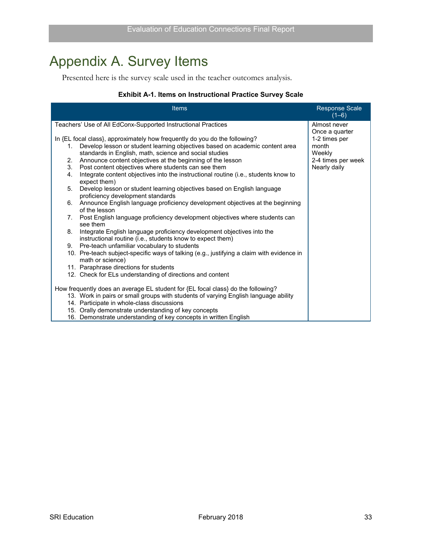# <span id="page-42-0"></span>Appendix A. Survey Items

Presented here is the survey scale used in the teacher outcomes analysis.

### **Exhibit A-1. Items on Instructional Practice Survey Scale**

<span id="page-42-1"></span>

| <b>Items</b>                                                                                                                                                     | <b>Response Scale</b><br>$(1-6)$         |
|------------------------------------------------------------------------------------------------------------------------------------------------------------------|------------------------------------------|
| Teachers' Use of All EdConx-Supported Instructional Practices                                                                                                    | Almost never                             |
| In {EL focal class}, approximately how frequently do you do the following?<br>Develop lesson or student learning objectives based on academic content area<br>1. | Once a quarter<br>1-2 times per<br>month |
| standards in English, math, science and social studies                                                                                                           | Weekly                                   |
| Announce content objectives at the beginning of the lesson<br>2.                                                                                                 | 2-4 times per week                       |
| 3.<br>Post content objectives where students can see them                                                                                                        | Nearly daily                             |
| Integrate content objectives into the instructional routine (i.e., students know to<br>4.<br>expect them)                                                        |                                          |
| Develop lesson or student learning objectives based on English language<br>5.<br>proficiency development standards                                               |                                          |
| Announce English language proficiency development objectives at the beginning<br>6.<br>of the lesson                                                             |                                          |
| Post English language proficiency development objectives where students can<br>7.<br>see them                                                                    |                                          |
| Integrate English language proficiency development objectives into the<br>8.<br>instructional routine (i.e., students know to expect them)                       |                                          |
| Pre-teach unfamiliar vocabulary to students<br>9.                                                                                                                |                                          |
| 10. Pre-teach subject-specific ways of talking (e.g., justifying a claim with evidence in<br>math or science)                                                    |                                          |
| 11. Paraphrase directions for students                                                                                                                           |                                          |
| 12. Check for ELs understanding of directions and content                                                                                                        |                                          |
| How frequently does an average EL student for {EL focal class} do the following?                                                                                 |                                          |
| 13. Work in pairs or small groups with students of varying English language ability                                                                              |                                          |
| 14. Participate in whole-class discussions                                                                                                                       |                                          |
| 15. Orally demonstrate understanding of key concepts                                                                                                             |                                          |
| 16. Demonstrate understanding of key concepts in written English                                                                                                 |                                          |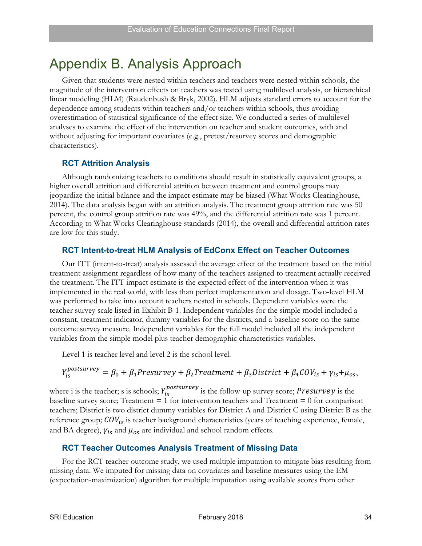# <span id="page-43-0"></span>Appendix B. Analysis Approach

Given that students were nested within teachers and teachers were nested within schools, the magnitude of the intervention effects on teachers was tested using multilevel analysis, or hierarchical linear modeling (HLM) (Raudenbush & Bryk, 2002). HLM adjusts standard errors to account for the dependence among students within teachers and/or teachers within schools, thus avoiding overestimation of statistical significance of the effect size. We conducted a series of multilevel analyses to examine the effect of the intervention on teacher and student outcomes, with and without adjusting for important covariates (e.g., pretest/resurvey scores and demographic characteristics).

### **RCT Attrition Analysis**

Although randomizing teachers to conditions should result in statistically equivalent groups, a higher overall attrition and differential attrition between treatment and control groups may jeopardize the initial balance and the impact estimate may be biased (What Works Clearinghouse, 2014). The data analysis began with an attrition analysis. The treatment group attrition rate was 50 percent, the control group attrition rate was 49%, and the differential attrition rate was 1 percent. According to What Works Clearinghouse standards (2014), the overall and differential attrition rates are low for this study.

### **RCT Intent-to-treat HLM Analysis of EdConx Effect on Teacher Outcomes**

Our ITT (intent-to-treat) analysis assessed the average effect of the treatment based on the initial treatment assignment regardless of how many of the teachers assigned to treatment actually received the treatment. The ITT impact estimate is the expected effect of the intervention when it was implemented in the real world, with less than perfect implementation and dosage. Two-level HLM was performed to take into account teachers nested in schools. Dependent variables were the teacher survey scale listed in Exhibit B-1. Independent variables for the simple model included a constant, treatment indicator, dummy variables for the districts, and a baseline score on the same outcome survey measure. Independent variables for the full model included all the independent variables from the simple model plus teacher demographic characteristics variables.

Level 1 is teacher level and level 2 is the school level.

$$
Y_{is}^{postsurvey} = \beta_0 + \beta_1 Presurvey + \beta_2 Treatment + \beta_3 District + \beta_4 COV_{is} + \gamma_{is} + \mu_{os},
$$

where i is the teacher; s is schools;  $Y_{is}^{postsurvey}$  is the follow-up survey score; Presurvey is the baseline survey score; Treatment  $= 1$  for intervention teachers and Treatment  $= 0$  for comparison teachers; District is two district dummy variables for District A and District C using District B as the reference group;  $COV_{is}$  is teacher background characteristics (years of teaching experience, female, and BA degree),  $\gamma_{is}$  and  $\mu_{os}$  are individual and school random effects.

# **RCT Teacher Outcomes Analysis Treatment of Missing Data**

For the RCT teacher outcome study, we used [mult](https://en.wikipedia.org/wiki/Multiple_imputation)iple imputation to mitigate bias resulting from missing data. We imputed for missing data on covariates and baseline measures using the EM (expectation-maximization) algorithm for multiple imputation using available scores from other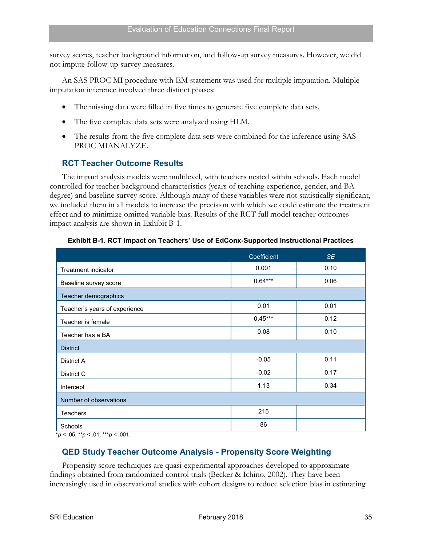survey scores, teacher background information, and follow-up survey measures. However, we did not impute follow-up survey measures.

An SAS PROC MI procedure with EM statement was used for multiple imputation. Multiple imputation inference involved three distinct phases:

- The missing data were filled in five times to generate five complete data sets.
- The five complete data sets were analyzed using HLM.
- The results from the five complete data sets were combined for the inference using SAS PROC MIANALYZE.

### **RCT Teacher Outcome Results**

The impact analysis models were multilevel, with teachers nested within schools. Each model controlled for teacher background characteristics (years of teaching experience, gender, and BA degree) and baseline survey score. Although many of these variables were not statistically significant, we included them in all models to increase the precision with which we could estimate the treatment effect and to minimize omitted variable bias. Results of the RCT full model teacher outcomes impact analysis are shown in Exhibit B-1.

<span id="page-44-0"></span>

|                               | Coefficient | <b>SE</b> |
|-------------------------------|-------------|-----------|
| Treatment indicator           | 0.001       | 0.10      |
| Baseline survey score         | $0.64***$   | 0.06      |
| Teacher demographics          |             |           |
| Teacher's years of experience | 0.01        | 0.01      |
| Teacher is female             | $0.45***$   | 0.12      |
| Teacher has a BA              | 0.08        | 0.10      |
| <b>District</b>               |             |           |
| District A                    | $-0.05$     | 0.11      |
| District C                    | $-0.02$     | 0.17      |
| Intercept                     | 1.13        | 0.34      |
| Number of observations        |             |           |
| <b>Teachers</b>               | 215         |           |
| Schools                       | 86          |           |

#### **Exhibit B-1. RCT Impact on Teachers' Use of EdConx-Supported Instructional Practices**

 $* p < .05, ** p < .01, ** p < .001.$ 

# **QED Study Teacher Outcome Analysis - Propensity Score Weighting**

Propensity score techniques are quasi-experimental approaches developed to approximate findings obtained from randomized control trials (Becker & Ichino, 2002). They have been increasingly used in observational studies with cohort designs to reduce selection bias in estimating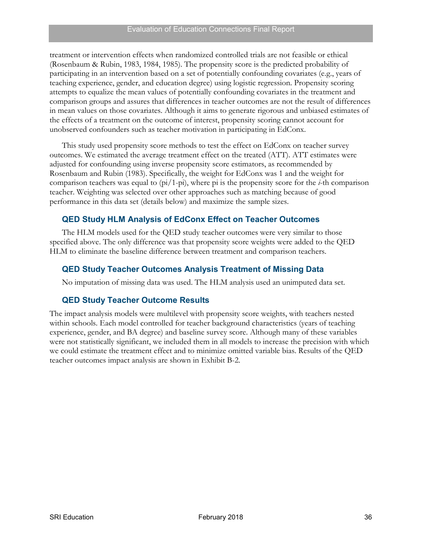treatment or intervention effects when randomized controlled trials are not feasible or ethical (Rosenbaum & Rubin, 1983, 1984, 1985). The propensity score is the predicted probability of participating in an intervention based on a set of potentially confounding covariates (e.g., years of teaching experience, gender, and education degree) using logistic regression. Propensity scoring attempts to equalize the mean values of potentially confounding covariates in the treatment and comparison groups and assures that differences in teacher outcomes are not the result of differences in mean values on those covariates. Although it aims to generate rigorous and unbiased estimates of the effects of a treatment on the outcome of interest, propensity scoring cannot account for unobserved confounders such as teacher motivation in participating in EdConx.

This study used propensity score methods to test the effect on EdConx on teacher survey outcomes. We estimated the average treatment effect on the treated (ATT). ATT estimates were adjusted for confounding using inverse propensity score estimators, as recommended by Rosenbaum and Rubin (1983). Specifically, the weight for EdConx was 1 and the weight for comparison teachers was equal to (pi/1-pi), where pi is the propensity score for the *i*-th comparison teacher. Weighting was selected over other approaches such as matching because of good performance in this data set (details below) and maximize the sample sizes.

# **QED Study HLM Analysis of EdConx Effect on Teacher Outcomes**

The HLM models used for the QED study teacher outcomes were very similar to those specified above. The only difference was that propensity score weights were added to the QED HLM to eliminate the baseline difference between treatment and comparison teachers.

# **QED Study Teacher Outcomes Analysis Treatment of Missing Data**

No imputation of missing data was used. The HLM analysis used an unimputed data set.

# **QED Study Teacher Outcome Results**

The impact analysis models were multilevel with propensity score weights, with teachers nested within schools. Each model controlled for teacher background characteristics (years of teaching experience, gender, and BA degree) and baseline survey score. Although many of these variables were not statistically significant, we included them in all models to increase the precision with which we could estimate the treatment effect and to minimize omitted variable bias. Results of the QED teacher outcomes impact analysis are shown in Exhibit B-2.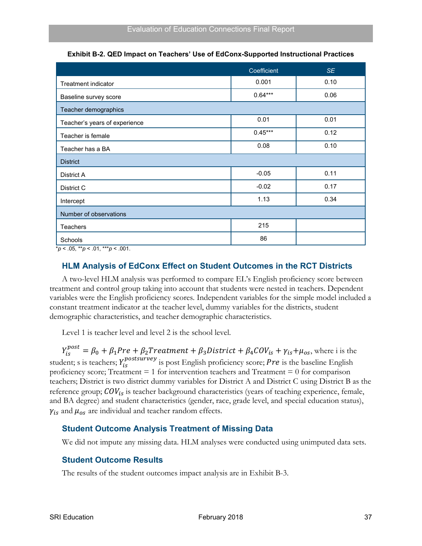<span id="page-46-0"></span>

|                               | Coefficient | <b>SE</b> |
|-------------------------------|-------------|-----------|
| <b>Treatment indicator</b>    | 0.001       | 0.10      |
| Baseline survey score         | $0.64***$   | 0.06      |
| Teacher demographics          |             |           |
| Teacher's years of experience | 0.01        | 0.01      |
| Teacher is female             | $0.45***$   | 0.12      |
| Teacher has a BA              | 0.08        | 0.10      |
| <b>District</b>               |             |           |
| District A                    | $-0.05$     | 0.11      |
| District C                    | $-0.02$     | 0.17      |
| Intercept                     | 1.13        | 0.34      |
| Number of observations        |             |           |
| <b>Teachers</b>               | 215         |           |
| <b>Schools</b>                | 86          |           |

**Exhibit B-2. QED Impact on Teachers' Use of EdConx-Supported Instructional Practices**

\**p* < .05, \*\**p* < .01, \*\*\**p* < .001.

# **HLM Analysis of EdConx Effect on Student Outcomes in the RCT Districts**

A two-level HLM analysis was performed to compare EL's English proficiency score between treatment and control group taking into account that students were nested in teachers. Dependent variables were the English proficiency scores. Independent variables for the simple model included a constant treatment indicator at the teacher level, dummy variables for the districts, student demographic characteristics, and teacher demographic characteristics.

Level 1 is teacher level and level 2 is the school level.

 $Y_{is}^{post} = \beta_0 + \beta_1 Pre + \beta_2 Treatment + \beta_3 District + \beta_4 COV_{is} + \gamma_{is} + \mu_{os}$ , where i is the student; s is teachers;  $Y_{is}^{postsurvey}$  is post English proficiency score; Pre is the baseline English proficiency score; Treatment  $= 1$  for intervention teachers and Treatment  $= 0$  for comparison teachers; District is two district dummy variables for District A and District C using District B as the reference group;  $COV_{is}$  is teacher background characteristics (years of teaching experience, female, and BA degree) and student characteristics (gender, race, grade level, and special education status),  $\gamma_{is}$  and  $\mu_{os}$  are individual and teacher random effects.

# **Student Outcome Analysis Treatment of Missing Data**

We did not impute any missing data. HLM analyses were conducted using unimputed data sets.

# **Student Outcome Results**

The results of the student outcomes impact analysis are in Exhibit B-3.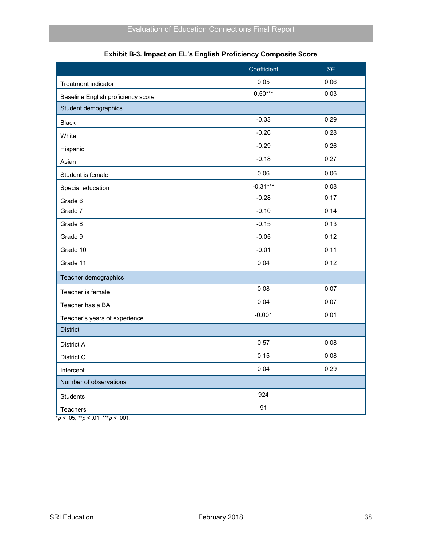<span id="page-47-0"></span>

|                                    | Coefficient | <b>SE</b> |
|------------------------------------|-------------|-----------|
| Treatment indicator                | 0.05        | 0.06      |
| Baseline English proficiency score | $0.50***$   | 0.03      |
| Student demographics               |             |           |
| <b>Black</b>                       | $-0.33$     | 0.29      |
| White                              | $-0.26$     | 0.28      |
| Hispanic                           | $-0.29$     | 0.26      |
| Asian                              | $-0.18$     | 0.27      |
| Student is female                  | 0.06        | 0.06      |
| Special education                  | $-0.31***$  | 0.08      |
| Grade 6                            | $-0.28$     | 0.17      |
| Grade 7                            | $-0.10$     | 0.14      |
| Grade 8                            | $-0.15$     | 0.13      |
| Grade 9                            | $-0.05$     | 0.12      |
| Grade 10                           | $-0.01$     | 0.11      |
| Grade 11                           | 0.04        | 0.12      |
| Teacher demographics               |             |           |
| Teacher is female                  | 0.08        | 0.07      |
| Teacher has a BA                   | 0.04        | 0.07      |
| Teacher's years of experience      | $-0.001$    | 0.01      |
| <b>District</b>                    |             |           |
| District A                         | 0.57        | 0.08      |
| District C                         | 0.15        | 0.08      |
| Intercept                          | 0.04        | 0.29      |
| Number of observations             |             |           |
| <b>Students</b>                    | 924         |           |
| <b>Teachers</b>                    | 91          |           |

|  | Exhibit B-3. Impact on EL's English Proficiency Composite Score |  |  |
|--|-----------------------------------------------------------------|--|--|
|  |                                                                 |  |  |

 $*_{p}$  < .05, \*\**p* < .01, \*\*\**p* < .001.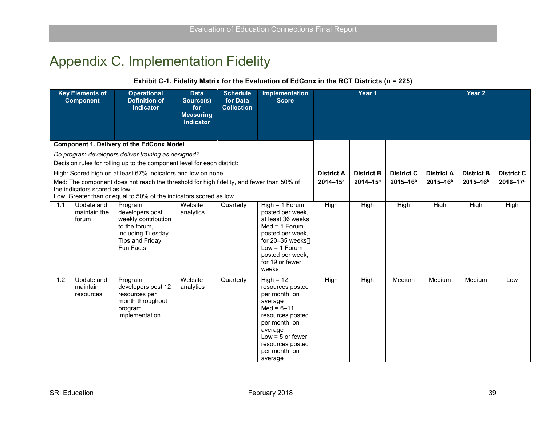# Appendix C. Implementation Fidelity

#### **Exhibit C-1. Fidelity Matrix for the Evaluation of EdConx in the RCT Districts (n = 225)**

<span id="page-48-1"></span><span id="page-48-0"></span>

|     | <b>Key Elements of</b><br><b>Component</b> | <b>Operational</b><br><b>Definition of</b><br><b>Indicator</b>                                                                 | <b>Data</b><br>Source(s)<br>for<br><b>Measuring</b><br><b>Indicator</b> | <b>Schedule</b><br>for Data<br><b>Collection</b> | <b>Implementation</b><br><b>Score</b>                                                                                                                                                               | Year 1                                                |                   |                   |                      | Year <sub>2</sub>    |                   |  |
|-----|--------------------------------------------|--------------------------------------------------------------------------------------------------------------------------------|-------------------------------------------------------------------------|--------------------------------------------------|-----------------------------------------------------------------------------------------------------------------------------------------------------------------------------------------------------|-------------------------------------------------------|-------------------|-------------------|----------------------|----------------------|-------------------|--|
|     |                                            | <b>Component 1. Delivery of the EdConx Model</b>                                                                               |                                                                         |                                                  |                                                                                                                                                                                                     |                                                       |                   |                   |                      |                      |                   |  |
|     |                                            | Do program developers deliver training as designed?                                                                            |                                                                         |                                                  |                                                                                                                                                                                                     |                                                       |                   |                   |                      |                      |                   |  |
|     |                                            | Decision rules for rolling up to the component level for each district:                                                        |                                                                         |                                                  |                                                                                                                                                                                                     |                                                       |                   |                   |                      |                      |                   |  |
|     |                                            | High: Scored high on at least 67% indicators and low on none.                                                                  |                                                                         |                                                  |                                                                                                                                                                                                     | <b>District A</b>                                     | <b>District B</b> | <b>District C</b> | <b>District A</b>    | <b>District B</b>    | <b>District C</b> |  |
|     | the indicators scored as low.              | Med: The component does not reach the threshold for high fidelity, and fewer than 50% of                                       |                                                                         |                                                  |                                                                                                                                                                                                     | $2014 - 15a$<br>$2014 - 15^a$<br>2015-16 <sup>b</sup> |                   |                   | 2015-16 <sup>b</sup> | 2015-16 <sup>b</sup> | 2016-17c          |  |
|     |                                            | Low: Greater than or equal to 50% of the indicators scored as low.                                                             |                                                                         |                                                  |                                                                                                                                                                                                     |                                                       |                   |                   |                      |                      |                   |  |
| 1.1 | Update and<br>maintain the<br>forum        | Program<br>developers post<br>weekly contribution<br>to the forum.<br>including Tuesday<br><b>Tips and Friday</b><br>Fun Facts | Website<br>analytics                                                    | Quarterly                                        | $High = 1$ Forum<br>posted per week,<br>at least 36 weeks<br>$Med = 1$ Forum<br>posted per week,<br>for 20-35 weeks<br>$Low = 1$ Forum<br>posted per week,<br>for 19 or fewer<br>weeks              | High                                                  | High              | <b>High</b>       | High                 | High                 | High              |  |
| 1.2 | Update and<br>maintain<br>resources        | Program<br>developers post 12<br>resources per<br>month throughout<br>program<br>implementation                                | Website<br>analytics                                                    | Quarterly                                        | $High = 12$<br>resources posted<br>per month, on<br>average<br>$Med = 6 - 11$<br>resources posted<br>per month, on<br>average<br>Low = $5$ or fewer<br>resources posted<br>per month, on<br>average | High                                                  | High              | Medium            | Medium               | Medium               | Low               |  |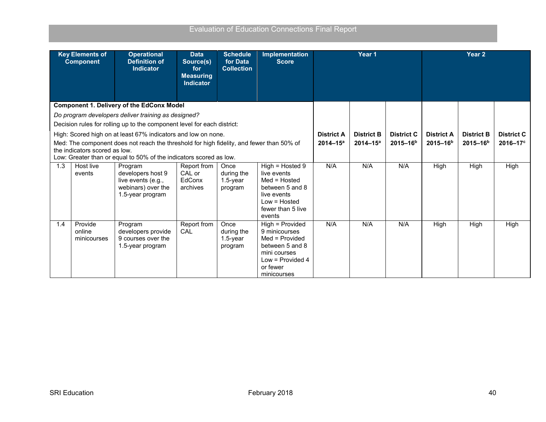|                                                                                                     | <b>Key Elements of</b><br><b>Component</b> | <b>Operational</b><br><b>Definition of</b><br><b>Indicator</b>                           | <b>Data</b><br>Source(s)<br>for<br><b>Measuring</b> | <b>Schedule</b><br>for Data<br><b>Collection</b> | Implementation<br><b>Score</b>   |                   | Year <sub>1</sub> |                   |                   | Year <sub>2</sub> |                   |
|-----------------------------------------------------------------------------------------------------|--------------------------------------------|------------------------------------------------------------------------------------------|-----------------------------------------------------|--------------------------------------------------|----------------------------------|-------------------|-------------------|-------------------|-------------------|-------------------|-------------------|
|                                                                                                     |                                            |                                                                                          | <b>Indicator</b>                                    |                                                  |                                  |                   |                   |                   |                   |                   |                   |
|                                                                                                     |                                            | <b>Component 1. Delivery of the EdConx Model</b>                                         |                                                     |                                                  |                                  |                   |                   |                   |                   |                   |                   |
|                                                                                                     |                                            | Do program developers deliver training as designed?                                      |                                                     |                                                  |                                  |                   |                   |                   |                   |                   |                   |
|                                                                                                     |                                            | Decision rules for rolling up to the component level for each district:                  |                                                     |                                                  |                                  |                   |                   |                   |                   |                   |                   |
|                                                                                                     |                                            | High: Scored high on at least 67% indicators and low on none.                            |                                                     |                                                  |                                  | <b>District A</b> | <b>District B</b> | <b>District C</b> | <b>District A</b> | <b>District B</b> | <b>District C</b> |
|                                                                                                     |                                            | Med: The component does not reach the threshold for high fidelity, and fewer than 50% of |                                                     |                                                  |                                  | $2014 - 15^a$     | $2014 - 15^a$     | $2015 - 16b$      | $2015 - 16b$      | $2015 - 16b$      | $2016 - 17$ °     |
| the indicators scored as low.<br>Low: Greater than or equal to 50% of the indicators scored as low. |                                            |                                                                                          |                                                     |                                                  |                                  |                   |                   |                   |                   |                   |                   |
|                                                                                                     |                                            |                                                                                          |                                                     |                                                  |                                  | N/A               | N/A               | N/A               |                   |                   |                   |
| 1.3                                                                                                 | Host live<br>events                        | Program<br>developers host 9                                                             | Report from<br>CAL or                               | Once<br>during the                               | $High = Hosted 9$<br>live events |                   |                   |                   | High              | High              | High              |
|                                                                                                     |                                            | live events (e.g.,                                                                       | EdConx                                              | $1.5$ -year                                      | $Med = Hosted$                   |                   |                   |                   |                   |                   |                   |
|                                                                                                     |                                            | webinars) over the                                                                       | archives                                            | program                                          | between 5 and 8                  |                   |                   |                   |                   |                   |                   |
|                                                                                                     |                                            | 1.5-year program                                                                         |                                                     |                                                  | live events                      |                   |                   |                   |                   |                   |                   |
|                                                                                                     |                                            |                                                                                          |                                                     |                                                  | $Low = Hosted$                   |                   |                   |                   |                   |                   |                   |
|                                                                                                     |                                            |                                                                                          |                                                     |                                                  | fewer than 5 live<br>events      |                   |                   |                   |                   |                   |                   |
| 1.4                                                                                                 | Provide                                    | Program                                                                                  | Report from                                         | Once                                             | High = Provided                  | N/A               | N/A               | N/A               | High              | High              | High              |
|                                                                                                     | online                                     | developers provide                                                                       | CAL                                                 | during the                                       | 9 minicourses                    |                   |                   |                   |                   |                   |                   |
|                                                                                                     | minicourses                                | 9 courses over the                                                                       |                                                     | $1.5$ -year                                      | Med = Provided                   |                   |                   |                   |                   |                   |                   |
|                                                                                                     |                                            | 1.5-year program                                                                         |                                                     | program                                          | between 5 and 8                  |                   |                   |                   |                   |                   |                   |
|                                                                                                     |                                            |                                                                                          |                                                     |                                                  | mini courses                     |                   |                   |                   |                   |                   |                   |
|                                                                                                     |                                            |                                                                                          |                                                     |                                                  | Low = Provided 4<br>or fewer     |                   |                   |                   |                   |                   |                   |
|                                                                                                     |                                            |                                                                                          |                                                     |                                                  | minicourses                      |                   |                   |                   |                   |                   |                   |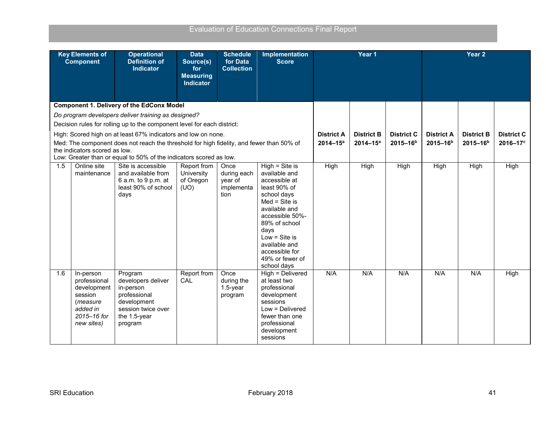| <b>Key Elements of</b><br><b>Operational</b><br><b>Schedule</b><br><b>Implementation</b><br>Year 1<br><b>Data</b><br><b>Definition of</b><br>for Data<br><b>Component</b><br>Source(s)<br><b>Score</b><br><b>Indicator</b><br><b>Collection</b><br>for<br><b>Measuring</b> | Year <sub>2</sub>                      |
|----------------------------------------------------------------------------------------------------------------------------------------------------------------------------------------------------------------------------------------------------------------------------|----------------------------------------|
| <b>Indicator</b>                                                                                                                                                                                                                                                           |                                        |
| <b>Component 1. Delivery of the EdConx Model</b>                                                                                                                                                                                                                           |                                        |
| Do program developers deliver training as designed?                                                                                                                                                                                                                        |                                        |
| Decision rules for rolling up to the component level for each district:                                                                                                                                                                                                    |                                        |
| High: Scored high on at least 67% indicators and low on none.<br><b>District A</b><br><b>District B</b><br><b>District C</b><br><b>District A</b>                                                                                                                          | <b>District C</b><br><b>District B</b> |
| 2015-16 <sup>b</sup><br>Med: The component does not reach the threshold for high fidelity, and fewer than 50% of<br>$2014 - 15^a$<br>$2014 - 15^a$<br>$2015 - 16^{b}$                                                                                                      | 2016-17 <sup>c</sup><br>$2015 - 16b$   |
| the indicators scored as low.<br>Low: Greater than or equal to 50% of the indicators scored as low.                                                                                                                                                                        |                                        |
| $High = Site is$<br>High<br>High<br>1.5<br>Online site<br>Site is accessible<br>High<br>High<br>Report from<br>Once                                                                                                                                                        | High<br>High                           |
| and available from<br>available and<br>University<br>during each<br>maintenance<br>accessible at                                                                                                                                                                           |                                        |
| 6 a.m. to 9 p.m. at<br>of Oregon<br>year of<br>least 90% of<br>least 90% of school<br>(UO)<br>implementa                                                                                                                                                                   |                                        |
| tion<br>school days<br>days                                                                                                                                                                                                                                                |                                        |
| $Med = Site is$                                                                                                                                                                                                                                                            |                                        |
| available and<br>accessible 50%-                                                                                                                                                                                                                                           |                                        |
| 89% of school                                                                                                                                                                                                                                                              |                                        |
| days                                                                                                                                                                                                                                                                       |                                        |
| Low = Site is<br>available and                                                                                                                                                                                                                                             |                                        |
| accessible for                                                                                                                                                                                                                                                             |                                        |
| 49% or fewer of                                                                                                                                                                                                                                                            |                                        |
| school days<br>Report from<br>High = Delivered<br>N/A<br>N/A<br>N/A<br>1.6<br>Once<br>N/A<br>In-person<br>Program                                                                                                                                                          | N/A<br>High                            |
| developers deliver<br>during the<br>professional<br>CAL<br>at least two                                                                                                                                                                                                    |                                        |
| development<br>$1.5$ -year<br>professional<br>in-person                                                                                                                                                                                                                    |                                        |
| session<br>professional<br>development<br>program<br>development<br>sessions<br>(measure                                                                                                                                                                                   |                                        |
| session twice over<br>Low = Delivered<br>added in                                                                                                                                                                                                                          |                                        |
| 2015-16 for<br>the 1.5-year<br>fewer than one                                                                                                                                                                                                                              |                                        |
| professional<br>new sites)<br>program                                                                                                                                                                                                                                      |                                        |
| development<br>sessions                                                                                                                                                                                                                                                    |                                        |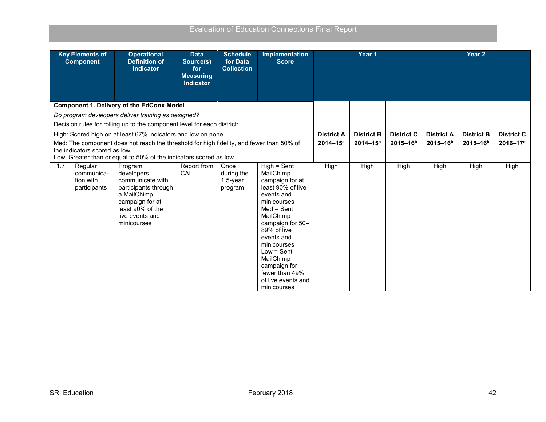|     | <b>Key Elements of</b><br><b>Component</b>                                                                                       | <b>Operational</b><br><b>Definition of</b><br><b>Indicator</b>                                                                                 | <b>Data</b><br>Source(s)<br>for<br><b>Measuring</b> | <b>Schedule</b><br>for Data<br><b>Collection</b> | <b>Implementation</b><br><b>Score</b>                                                                                                                                                                                                                                           | Year <sub>1</sub> |                   |                   | Year <sub>2</sub>    |                   |                   |  |
|-----|----------------------------------------------------------------------------------------------------------------------------------|------------------------------------------------------------------------------------------------------------------------------------------------|-----------------------------------------------------|--------------------------------------------------|---------------------------------------------------------------------------------------------------------------------------------------------------------------------------------------------------------------------------------------------------------------------------------|-------------------|-------------------|-------------------|----------------------|-------------------|-------------------|--|
|     |                                                                                                                                  |                                                                                                                                                | <b>Indicator</b>                                    |                                                  |                                                                                                                                                                                                                                                                                 |                   |                   |                   |                      |                   |                   |  |
|     |                                                                                                                                  | <b>Component 1. Delivery of the EdConx Model</b>                                                                                               |                                                     |                                                  |                                                                                                                                                                                                                                                                                 |                   |                   |                   |                      |                   |                   |  |
|     |                                                                                                                                  | Do program developers deliver training as designed?                                                                                            |                                                     |                                                  |                                                                                                                                                                                                                                                                                 |                   |                   |                   |                      |                   |                   |  |
|     |                                                                                                                                  | Decision rules for rolling up to the component level for each district:                                                                        |                                                     |                                                  |                                                                                                                                                                                                                                                                                 |                   |                   |                   |                      |                   |                   |  |
|     |                                                                                                                                  | High: Scored high on at least 67% indicators and low on none.                                                                                  |                                                     |                                                  |                                                                                                                                                                                                                                                                                 | <b>District A</b> | <b>District B</b> | <b>District C</b> | <b>District A</b>    | <b>District B</b> | <b>District C</b> |  |
|     |                                                                                                                                  | Med: The component does not reach the threshold for high fidelity, and fewer than 50% of                                                       |                                                     |                                                  |                                                                                                                                                                                                                                                                                 | $2014 - 15^a$     | $2014 - 15^a$     | $2015 - 16b$      | 2015-16 <sup>b</sup> | $2015 - 16b$      | 2016-17c          |  |
|     | the indicators scored as low.                                                                                                    |                                                                                                                                                |                                                     |                                                  |                                                                                                                                                                                                                                                                                 |                   |                   |                   |                      |                   |                   |  |
|     | Low: Greater than or equal to 50% of the indicators scored as low.<br>$High = Sent$<br>Regular<br>Report from<br>Program<br>Once |                                                                                                                                                |                                                     |                                                  |                                                                                                                                                                                                                                                                                 |                   |                   |                   |                      |                   |                   |  |
| 1.7 | communica-<br>tion with<br>participants                                                                                          | developers<br>communicate with<br>participants through<br>a MailChimp<br>campaign for at<br>least 90% of the<br>live events and<br>minicourses | CAL                                                 | during the<br>$1.5$ -year<br>program             | MailChimp<br>campaign for at<br>least 90% of live<br>events and<br>minicourses<br>$Med = Sent$<br>MailChimp<br>campaign for 50-<br>89% of live<br>events and<br>minicourses<br>$Low = Sent$<br>MailChimp<br>campaign for<br>fewer than 49%<br>of live events and<br>minicourses | High              | High              | High              | High                 | High              | High              |  |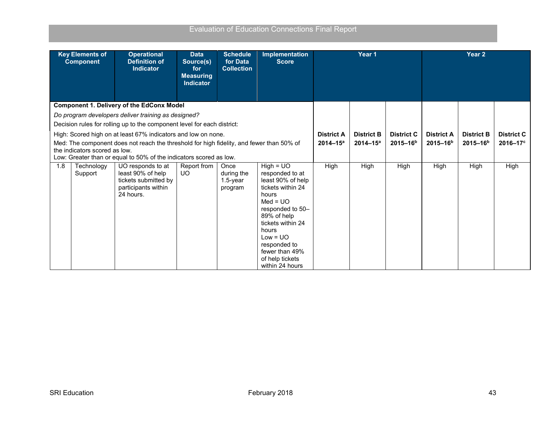| <b>Key Elements of</b><br><b>Component</b> | <b>Operational</b><br><b>Definition of</b><br><b>Indicator</b>                                                                                                                                                                                                                                             | <b>Data</b><br>Source(s)<br>for<br><b>Measuring</b><br><b>Indicator</b> | <b>Schedule</b><br>for Data<br><b>Collection</b> | <b>Implementation</b><br><b>Score</b>                                                                                                                                                                                                                  |                                   | Year <sub>1</sub>                 |                                    | Year <sub>2</sub> |      |      |
|--------------------------------------------|------------------------------------------------------------------------------------------------------------------------------------------------------------------------------------------------------------------------------------------------------------------------------------------------------------|-------------------------------------------------------------------------|--------------------------------------------------|--------------------------------------------------------------------------------------------------------------------------------------------------------------------------------------------------------------------------------------------------------|-----------------------------------|-----------------------------------|------------------------------------|-------------------|------|------|
|                                            | <b>Component 1. Delivery of the EdConx Model</b><br>Do program developers deliver training as designed?                                                                                                                                                                                                    |                                                                         |                                                  |                                                                                                                                                                                                                                                        |                                   |                                   |                                    |                   |      |      |
| the indicators scored as low.              | Decision rules for rolling up to the component level for each district:<br>High: Scored high on at least 67% indicators and low on none.<br>Med: The component does not reach the threshold for high fidelity, and fewer than 50% of<br>Low: Greater than or equal to 50% of the indicators scored as low. | <b>District A</b><br>$2014 - 15^a$                                      | <b>District B</b><br>$2014 - 15^a$               | <b>District C</b><br>$2015 - 16b$                                                                                                                                                                                                                      | <b>District A</b><br>$2015 - 16b$ | <b>District B</b><br>$2015 - 16b$ | <b>District C</b><br>$2016 - 17$ ° |                   |      |      |
| 1.8<br>Technology<br>Support               | UO responds to at<br>least 90% of help<br>tickets submitted by<br>participants within<br>24 hours.                                                                                                                                                                                                         | Report from<br><b>UO</b>                                                | Once<br>during the<br>$1.5$ -year<br>program     | $High = UO$<br>responded to at<br>least 90% of help<br>tickets within 24<br>hours<br>$Med = UO$<br>responded to 50-<br>89% of help<br>tickets within 24<br>hours<br>$Low = UO$<br>responded to<br>fewer than 49%<br>of help tickets<br>within 24 hours | High                              | High                              | High                               | High              | High | High |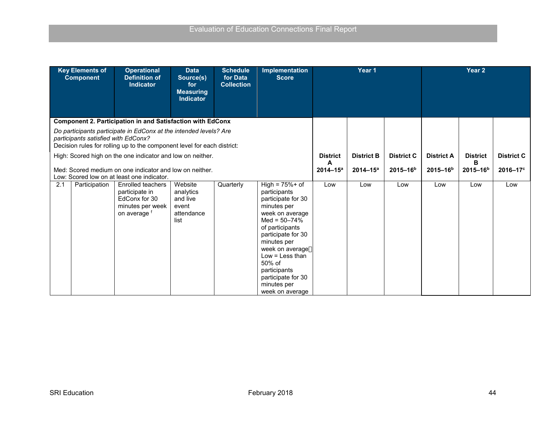|     | <b>Key Elements of</b><br><b>Component</b> | <b>Operational</b><br><b>Definition of</b><br><b>Indicator</b>                                                                               | <b>Data</b><br>Source(s)<br>for<br><b>Measuring</b><br><b>Indicator</b> | <b>Schedule</b><br>for Data<br><b>Collection</b> | Implementation<br><b>Score</b>                                                                                                                                                                                                                                                                  |                    | Year 1            |                   |                   | Year 2               |                      |
|-----|--------------------------------------------|----------------------------------------------------------------------------------------------------------------------------------------------|-------------------------------------------------------------------------|--------------------------------------------------|-------------------------------------------------------------------------------------------------------------------------------------------------------------------------------------------------------------------------------------------------------------------------------------------------|--------------------|-------------------|-------------------|-------------------|----------------------|----------------------|
|     |                                            | <b>Component 2. Participation in and Satisfaction with EdConx</b>                                                                            |                                                                         |                                                  |                                                                                                                                                                                                                                                                                                 |                    |                   |                   |                   |                      |                      |
|     | participants satisfied with EdConx?        | Do participants participate in EdConx at the intended levels? Are<br>Decision rules for rolling up to the component level for each district: |                                                                         |                                                  |                                                                                                                                                                                                                                                                                                 |                    |                   |                   |                   |                      |                      |
|     |                                            | High: Scored high on the one indicator and low on neither.                                                                                   |                                                                         |                                                  |                                                                                                                                                                                                                                                                                                 | <b>District</b>    | <b>District B</b> | <b>District C</b> | <b>District A</b> | <b>District</b><br>в | <b>District C</b>    |
|     |                                            | Med: Scored medium on one indicator and low on neither.<br>Low: Scored low on at least one indicator.                                        |                                                                         |                                                  |                                                                                                                                                                                                                                                                                                 | A<br>$2014 - 15^a$ | $2014 - 15^a$     | $2015 - 16b$      | $2015 - 16b$      | $2015 - 16b$         | 2016-17 <sup>c</sup> |
| 2.1 | Participation                              | Enrolled teachers<br>participate in<br>EdConx for 30<br>minutes per week<br>on average f                                                     | Website<br>analytics<br>and live<br>event<br>attendance<br>list         | Quarterly                                        | High = $75%$ + of<br>participants<br>participate for 30<br>minutes per<br>week on average<br>Med = $50 - 74%$<br>of participants<br>participate for 30<br>minutes per<br>week on average<br>Low $=$ Less than<br>50% of<br>participants<br>participate for 30<br>minutes per<br>week on average | Low                | Low               | Low               | Low               | Low                  | Low                  |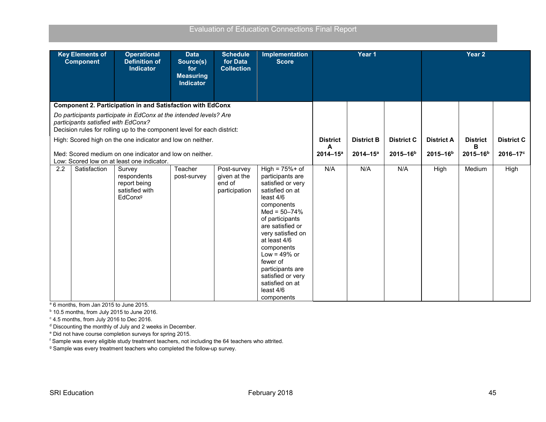| <b>Evaluation of Education Connections Final Report</b> |  |  |  |
|---------------------------------------------------------|--|--|--|
|                                                         |  |  |  |

| <b>Key Elements of</b><br><b>Component</b>                                                                                                                                          | <b>Operational</b><br><b>Definition of</b><br><b>Indicator</b>                 | <b>Data</b><br>Source(s)<br>for<br><b>Measuring</b><br><b>Indicator</b> | <b>Schedule</b><br>for Data<br><b>Collection</b>       | <b>Implementation</b><br><b>Score</b>                                                                                                                                                                                                                                                                                                        | Year 1            |                   |                   |                   | Year <sub>2</sub> |      |  |
|-------------------------------------------------------------------------------------------------------------------------------------------------------------------------------------|--------------------------------------------------------------------------------|-------------------------------------------------------------------------|--------------------------------------------------------|----------------------------------------------------------------------------------------------------------------------------------------------------------------------------------------------------------------------------------------------------------------------------------------------------------------------------------------------|-------------------|-------------------|-------------------|-------------------|-------------------|------|--|
| <b>Component 2. Participation in and Satisfaction with EdConx</b>                                                                                                                   |                                                                                |                                                                         |                                                        |                                                                                                                                                                                                                                                                                                                                              |                   |                   |                   |                   |                   |      |  |
| Do participants participate in EdConx at the intended levels? Are<br>participants satisfied with EdConx?<br>Decision rules for rolling up to the component level for each district: |                                                                                |                                                                         |                                                        |                                                                                                                                                                                                                                                                                                                                              |                   |                   |                   |                   |                   |      |  |
| High: Scored high on the one indicator and low on neither.                                                                                                                          |                                                                                |                                                                         | <b>District</b>                                        | <b>District B</b>                                                                                                                                                                                                                                                                                                                            | <b>District C</b> | <b>District A</b> | <b>District</b>   | <b>District C</b> |                   |      |  |
| Med: Scored medium on one indicator and low on neither.<br>Low: Scored low on at least one indicator.                                                                               |                                                                                |                                                                         | A<br>$2014 - 15^a$                                     | $2014 - 15^a$                                                                                                                                                                                                                                                                                                                                | $2015 - 16b$      | $2015 - 16b$      | в<br>$2015 - 16b$ | $2016 - 17$ °     |                   |      |  |
| 2.2<br>Satisfaction                                                                                                                                                                 | Survey<br>respondents<br>report being<br>satisfied with<br>EdConx <sup>g</sup> | Teacher<br>post-survey                                                  | Post-survey<br>given at the<br>end of<br>participation | High = $75%$ + of<br>participants are<br>satisfied or very<br>satisfied on at<br>least 4/6<br>components<br>Med = $50 - 74%$<br>of participants<br>are satisfied or<br>very satisfied on<br>at least 4/6<br>components<br>Low = $49\%$ or<br>fewer of<br>participants are<br>satisfied or very<br>satisfied on at<br>least 4/6<br>components | N/A               | N/A               | N/A               | High              | Medium            | High |  |

<sup>a</sup> 6 months, from Jan 2015 to June 2015.

<sup>b</sup> 10.5 months, from July 2015 to June 2016.

<sup>c</sup> 4.5 months, from July 2016 to Dec 2016.

<sup>d</sup> Discounting the monthly of July and 2 weeks in December.

<sup>e</sup> Did not have course completion surveys for spring 2015.

<sup>f</sup> Sample was every eligible study treatment teachers, not including the 64 teachers who attrited.

<sup>g</sup> Sample was every treatment teachers who completed the follow-up survey.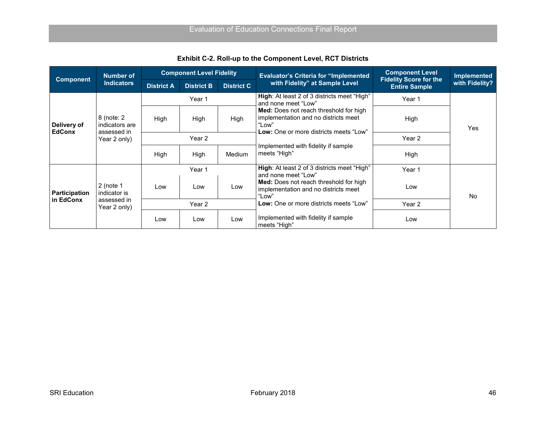<span id="page-55-0"></span>

| <b>Component</b>                  | Number of                                   |                   | <b>Component Level Fidelity</b> |                   | <b>Evaluator's Criteria for "Implemented</b>                                                                                             | <b>Component Level</b>                                | <b>Implemented</b> |
|-----------------------------------|---------------------------------------------|-------------------|---------------------------------|-------------------|------------------------------------------------------------------------------------------------------------------------------------------|-------------------------------------------------------|--------------------|
|                                   | <b>Indicators</b>                           | <b>District A</b> | <b>District B</b>               | <b>District C</b> | with Fidelity" at Sample Level                                                                                                           | <b>Fidelity Score for the</b><br><b>Entire Sample</b> | with Fidelity?     |
|                                   |                                             |                   | Year 1                          |                   | <b>High:</b> At least 2 of 3 districts meet "High"<br>and none meet "Low"                                                                | Year 1                                                |                    |
| Delivery of<br><b>EdConx</b>      | 8 (note: 2<br>indicators are<br>assessed in | High              | High                            | High              | <b>Med:</b> Does not reach threshold for high<br>implementation and no districts meet<br>"Low"<br>Low: One or more districts meets "Low" | High                                                  | Yes                |
|                                   | Year 2 only)                                | Year 2            |                                 |                   |                                                                                                                                          | Year 2                                                |                    |
|                                   |                                             | High              | High                            | <b>Medium</b>     | Implemented with fidelity if sample<br>meets "High"                                                                                      | High                                                  |                    |
|                                   |                                             |                   | Year 1                          |                   | High: At least 2 of 3 districts meet "High"<br>and none meet "Low"                                                                       | Year 1                                                |                    |
| <b>Participation</b><br>in EdConx | $2$ (note 1<br>indicator is                 | Low               | Low                             | Low               | Med: Does not reach threshold for high<br>implementation and no districts meet<br>"Low"                                                  | Low                                                   | <b>No</b>          |
|                                   | assessed in<br>Year 2 only)                 | Year 2            |                                 |                   | Low: One or more districts meets "Low"                                                                                                   | Year 2                                                |                    |
|                                   |                                             | Low               | Low                             | Low               | Implemented with fidelity if sample<br>meets "High"                                                                                      | Low                                                   |                    |

**Exhibit C-2. Roll-up to the Component Level, RCT Districts**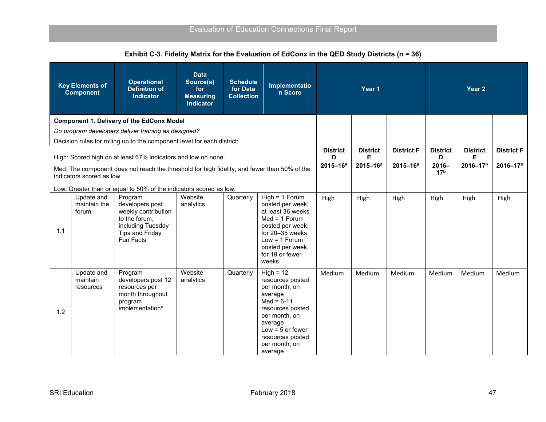<span id="page-56-0"></span>

|     | <b>Key Elements of</b><br><b>Component</b> | <b>Operational</b><br><b>Definition of</b><br><b>Indicator</b>                                                                 | <b>Data</b><br>Source(s)<br>for<br><b>Measuring</b><br><b>Indicator</b> | <b>Schedule</b><br>for Data<br><b>Collection</b> | Implementatio<br>n Score                                                                                                                                                                          | Year 1               |                      |                   | Year 2                      |                      |                   |  |
|-----|--------------------------------------------|--------------------------------------------------------------------------------------------------------------------------------|-------------------------------------------------------------------------|--------------------------------------------------|---------------------------------------------------------------------------------------------------------------------------------------------------------------------------------------------------|----------------------|----------------------|-------------------|-----------------------------|----------------------|-------------------|--|
|     |                                            | <b>Component 1. Delivery of the EdConx Model</b>                                                                               |                                                                         |                                                  |                                                                                                                                                                                                   |                      |                      |                   |                             |                      |                   |  |
|     |                                            | Do program developers deliver training as designed?                                                                            |                                                                         |                                                  |                                                                                                                                                                                                   |                      |                      |                   |                             |                      |                   |  |
|     |                                            | Decision rules for rolling up to the component level for each district:                                                        |                                                                         |                                                  |                                                                                                                                                                                                   |                      |                      |                   |                             |                      |                   |  |
|     |                                            | High: Scored high on at least 67% indicators and low on none.                                                                  |                                                                         |                                                  |                                                                                                                                                                                                   | <b>District</b><br>D | <b>District</b><br>Е | <b>District F</b> | <b>District</b><br>D        | <b>District</b><br>Е | <b>District F</b> |  |
|     | indicators scored as low.                  | Med: The component does not reach the threshold for high fidelity, and fewer than 50% of the                                   |                                                                         |                                                  |                                                                                                                                                                                                   | $2015 - 16a$         | $2015 - 16^a$        | $2015 - 16^a$     | $2016 -$<br>17 <sup>b</sup> | 2016-17 <sup>b</sup> | $2016 - 17b$      |  |
|     |                                            | Low: Greater than or equal to 50% of the indicators scored as low.                                                             |                                                                         |                                                  |                                                                                                                                                                                                   |                      |                      |                   |                             |                      |                   |  |
| 1.1 | Update and<br>maintain the<br>forum        | Program<br>developers post<br>weekly contribution<br>to the forum,<br>including Tuesday<br><b>Tips and Friday</b><br>Fun Facts | Website<br>analytics                                                    | Quarterly                                        | $High = 1$ Forum<br>posted per week,<br>at least 36 weeks<br>$Med = 1$ Forum<br>posted per week,<br>for 20-35 weeks<br>$Low = 1$ Forum<br>posted per week,<br>for 19 or fewer<br>weeks            | High                 | High                 | High              | High                        | High                 | High              |  |
| 1.2 | Update and<br>maintain<br>resources        | Program<br>developers post 12<br>resources per<br>month throughout<br>program<br>implementation <sup>c</sup>                   | Website<br>analytics                                                    | Quarterly                                        | $High = 12$<br>resources posted<br>per month, on<br>average<br>$Med = 6-11$<br>resources posted<br>per month, on<br>average<br>Low = $5$ or fewer<br>resources posted<br>per month, on<br>average | Medium               | Medium               | Medium            | Medium                      | Medium               | Medium            |  |

**Exhibit C-3. Fidelity Matrix for the Evaluation of EdConx in the QED Study Districts (n = 36)**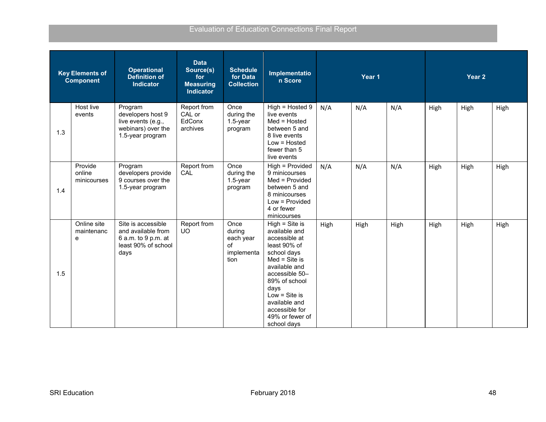|     | <b>Key Elements of</b><br><b>Component</b> | <b>Operational</b><br><b>Definition of</b><br>Indicator                                        | <b>Data</b><br>Source(s)<br>for<br><b>Measuring</b><br><b>Indicator</b> | <b>Schedule</b><br>Implementatio<br>Year 1<br>for Data<br>n Score<br><b>Collection</b> |                                                                                                                                                                                                                                                          |      |      |      |      | Year 2 |      |
|-----|--------------------------------------------|------------------------------------------------------------------------------------------------|-------------------------------------------------------------------------|----------------------------------------------------------------------------------------|----------------------------------------------------------------------------------------------------------------------------------------------------------------------------------------------------------------------------------------------------------|------|------|------|------|--------|------|
| 1.3 | Host live<br>events                        | Program<br>developers host 9<br>live events (e.g.,<br>webinars) over the<br>1.5-year program   | Report from<br>CAL or<br>EdConx<br>archives                             | Once<br>during the<br>1.5-year<br>program                                              | High = Hosted 9<br>live events<br>Med = Hosted<br>between 5 and<br>8 live events<br>Low = Hosted<br>fewer than 5<br>live events                                                                                                                          | N/A  | N/A  | N/A  | High | High   | High |
| 1.4 | Provide<br>online<br>minicourses           | Program<br>developers provide<br>9 courses over the<br>1.5-year program                        | Report from<br>CAL                                                      | Once<br>during the<br>$1.5$ -year<br>program                                           | High = Provided<br>9 minicourses<br>Med = Provided<br>between 5 and<br>8 minicourses<br>Low = Provided<br>4 or fewer<br>minicourses                                                                                                                      | N/A  | N/A  | N/A  | High | High   | High |
| 1.5 | Online site<br>maintenanc<br>e             | Site is accessible<br>and available from<br>6 a.m. to 9 p.m. at<br>least 90% of school<br>days | Report from<br>UO.                                                      | Once<br>during<br>each year<br>оf<br>implementa<br>tion                                | $High = Site is$<br>available and<br>accessible at<br>least 90% of<br>school days<br>$Med = Site is$<br>available and<br>accessible 50-<br>89% of school<br>days<br>Low $=$ Site is<br>available and<br>accessible for<br>49% or fewer of<br>school days | High | High | High | High | High   | High |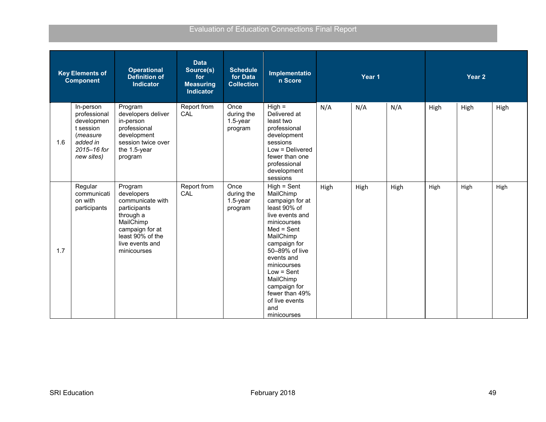|     | <b>Key Elements of</b><br><b>Component</b>                                                                | <b>Operational</b><br><b>Definition of</b><br><b>Indicator</b>                                                                                               | <b>Data</b><br>Source(s)<br>for<br><b>Measuring</b><br><b>Indicator</b> | <b>Schedule</b><br>for Data<br><b>Collection</b> | Implementatio<br>n Score                                                                                                                                                                                                                                                                           | Year 1 |      |      |      | Year 2 |      |
|-----|-----------------------------------------------------------------------------------------------------------|--------------------------------------------------------------------------------------------------------------------------------------------------------------|-------------------------------------------------------------------------|--------------------------------------------------|----------------------------------------------------------------------------------------------------------------------------------------------------------------------------------------------------------------------------------------------------------------------------------------------------|--------|------|------|------|--------|------|
| 1.6 | In-person<br>professional<br>developmen<br>t session<br>(measure<br>added in<br>2015-16 for<br>new sites) | Program<br>developers deliver<br>in-person<br>professional<br>development<br>session twice over<br>the 1.5-year<br>program                                   | Report from<br>CAL                                                      | Once<br>during the<br>1.5-year<br>program        | $High =$<br>Delivered at<br>least two<br>professional<br>development<br>sessions<br>Low = Delivered<br>fewer than one<br>professional<br>development<br>sessions                                                                                                                                   | N/A    | N/A  | N/A  | High | High   | High |
| 1.7 | Regular<br>communicati<br>on with<br>participants                                                         | Program<br>developers<br>communicate with<br>participants<br>through a<br>MailChimp<br>campaign for at<br>least 90% of the<br>live events and<br>minicourses | Report from<br>CAL                                                      | Once<br>during the<br>$1.5$ -year<br>program     | $High = Sent$<br>MailChimp<br>campaign for at<br>least 90% of<br>live events and<br>minicourses<br>$Med = Sent$<br>MailChimp<br>campaign for<br>50-89% of live<br>events and<br>minicourses<br>$Low = Sent$<br>MailChimp<br>campaign for<br>fewer than 49%<br>of live events<br>and<br>minicourses | High   | High | High | High | High   | High |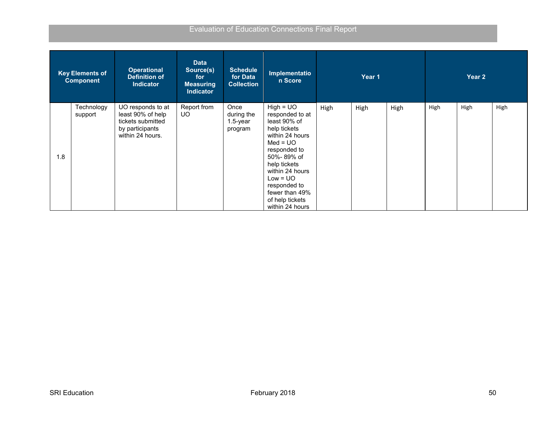|     | <b>Key Elements of</b><br><b>Component</b> | <b>Operational</b><br><b>Definition of</b><br><b>Indicator</b>                                     | <b>Data</b><br>Source(s)<br>for<br><b>Measuring</b><br><b>Indicator</b> | <b>Schedule</b><br>for Data<br><b>Collection</b> | Implementatio<br>n Score                                                                                                                                                                                                                               |      | Year 1 |      |      | Year 2 |      |
|-----|--------------------------------------------|----------------------------------------------------------------------------------------------------|-------------------------------------------------------------------------|--------------------------------------------------|--------------------------------------------------------------------------------------------------------------------------------------------------------------------------------------------------------------------------------------------------------|------|--------|------|------|--------|------|
| 1.8 | Technology<br>support                      | UO responds to at<br>least 90% of help<br>tickets submitted<br>by participants<br>within 24 hours. | Report from<br>UO.                                                      | Once<br>during the<br>$1.5$ -year<br>program     | $High = UO$<br>responded to at<br>least 90% of<br>help tickets<br>within 24 hours<br>$Med = UO$<br>responded to<br>50%-89% of<br>help tickets<br>within 24 hours<br>$Low = UO$<br>responded to<br>fewer than 49%<br>of help tickets<br>within 24 hours | High | High   | High | High | High   | High |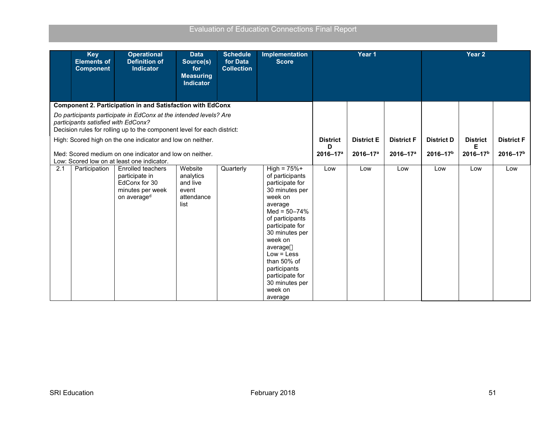|     | <b>Key</b><br><b>Elements of</b><br><b>Component</b> | <b>Operational</b><br><b>Definition of</b><br><b>Indicator</b>                                                                                                                                                                                                                                                      | <b>Data</b><br>Source(s)<br>for<br><b>Measuring</b><br><b>Indicator</b> | <b>Schedule</b><br>for Data<br><b>Collection</b> | <b>Implementation</b><br><b>Score</b>                                                                                                                                                                                                                                                                    |                                              | Year 1                            |                                           |                                           | Year <sub>2</sub>                    |                                           |
|-----|------------------------------------------------------|---------------------------------------------------------------------------------------------------------------------------------------------------------------------------------------------------------------------------------------------------------------------------------------------------------------------|-------------------------------------------------------------------------|--------------------------------------------------|----------------------------------------------------------------------------------------------------------------------------------------------------------------------------------------------------------------------------------------------------------------------------------------------------------|----------------------------------------------|-----------------------------------|-------------------------------------------|-------------------------------------------|--------------------------------------|-------------------------------------------|
|     |                                                      | <b>Component 2. Participation in and Satisfaction with EdConx</b>                                                                                                                                                                                                                                                   |                                                                         |                                                  |                                                                                                                                                                                                                                                                                                          |                                              |                                   |                                           |                                           |                                      |                                           |
|     | participants satisfied with EdConx?                  | Do participants participate in EdConx at the intended levels? Are<br>Decision rules for rolling up to the component level for each district:<br>High: Scored high on the one indicator and low on neither.<br>Med: Scored medium on one indicator and low on neither.<br>Low: Scored low on at least one indicator. |                                                                         |                                                  |                                                                                                                                                                                                                                                                                                          | <b>District</b><br>D<br>2016-17 <sup>a</sup> | <b>District E</b><br>$2016 - 17a$ | <b>District F</b><br>2016-17 <sup>a</sup> | <b>District D</b><br>2016-17 <sup>b</sup> | <b>District</b><br>Е<br>$2016 - 17b$ | <b>District F</b><br>2016-17 <sup>b</sup> |
| 2.1 | Participation                                        | <b>Enrolled teachers</b><br>participate in<br>EdConx for 30<br>minutes per week<br>on average <sup>d</sup>                                                                                                                                                                                                          | Website<br>analytics<br>and live<br>event<br>attendance<br>list         | Quarterly                                        | $High = 75% +$<br>of participants<br>participate for<br>30 minutes per<br>week on<br>average<br>$Med = 50 - 74%$<br>of participants<br>participate for<br>30 minutes per<br>week on<br>average<br>$Low = Less$<br>than 50% of<br>participants<br>participate for<br>30 minutes per<br>week on<br>average | Low                                          | Low                               | Low                                       | Low                                       | Low                                  | Low                                       |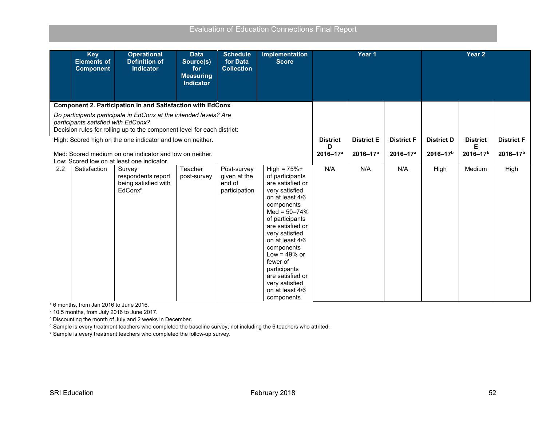|                                                                                                                                                                                                                                                   | <b>Key</b><br><b>Elements of</b><br><b>Component</b> | <b>Operational</b><br><b>Definition of</b><br><b>Indicator</b>                                        | <b>Data</b><br>Source(s)<br>for<br><b>Measuring</b><br><b>Indicator</b> | <b>Schedule</b><br>for Data<br><b>Collection</b>       | <b>Implementation</b><br><b>Score</b>                                                                                                                                                                                                                                                                                                        |                   | Year 1            |                   |                 | Year <sub>2</sub> |              |
|---------------------------------------------------------------------------------------------------------------------------------------------------------------------------------------------------------------------------------------------------|------------------------------------------------------|-------------------------------------------------------------------------------------------------------|-------------------------------------------------------------------------|--------------------------------------------------------|----------------------------------------------------------------------------------------------------------------------------------------------------------------------------------------------------------------------------------------------------------------------------------------------------------------------------------------------|-------------------|-------------------|-------------------|-----------------|-------------------|--------------|
|                                                                                                                                                                                                                                                   |                                                      | <b>Component 2. Participation in and Satisfaction with EdConx</b>                                     |                                                                         |                                                        |                                                                                                                                                                                                                                                                                                                                              |                   |                   |                   |                 |                   |              |
| Do participants participate in EdConx at the intended levels? Are<br>participants satisfied with EdConx?<br>Decision rules for rolling up to the component level for each district:<br>High: Scored high on the one indicator and low on neither. |                                                      |                                                                                                       |                                                                         |                                                        | <b>District</b>                                                                                                                                                                                                                                                                                                                              | <b>District E</b> | <b>District F</b> | <b>District D</b> | <b>District</b> | <b>District F</b> |              |
|                                                                                                                                                                                                                                                   |                                                      |                                                                                                       |                                                                         |                                                        |                                                                                                                                                                                                                                                                                                                                              | D                 |                   |                   |                 | Е                 |              |
|                                                                                                                                                                                                                                                   |                                                      | Med: Scored medium on one indicator and low on neither.<br>Low: Scored low on at least one indicator. |                                                                         |                                                        |                                                                                                                                                                                                                                                                                                                                              | $2016 - 17a$      | $2016 - 17a$      | $2016 - 17a$      | $2016 - 17b$    | $2016 - 17b$      | $2016 - 17b$ |
| 2.2                                                                                                                                                                                                                                               | Satisfaction                                         | Survey<br>respondents report<br>being satisfied with<br>EdConx <sup>e</sup>                           | Teacher<br>post-survey                                                  | Post-survey<br>given at the<br>end of<br>participation | $High = 75% +$<br>of participants<br>are satisfied or<br>very satisfied<br>on at least 4/6<br>components<br>Med = $50 - 74%$<br>of participants<br>are satisfied or<br>very satisfied<br>on at least 4/6<br>components<br>Low = $49\%$ or<br>fewer of<br>participants<br>are satisfied or<br>very satisfied<br>on at least 4/6<br>components | N/A               | N/A               | N/A               | High            | Medium            | High         |

<sup>a</sup> 6 months, from Jan 2016 to June 2016.

<sup>b</sup> 10.5 months, from July 2016 to June 2017.

<sup>c</sup> Discounting the month of July and 2 weeks in December.

<sup>d</sup> Sample is every treatment teachers who completed the baseline survey, not including the 6 teachers who attrited.<br><sup>e</sup> Sample is every treatment teachers who completed the follow-up survey.